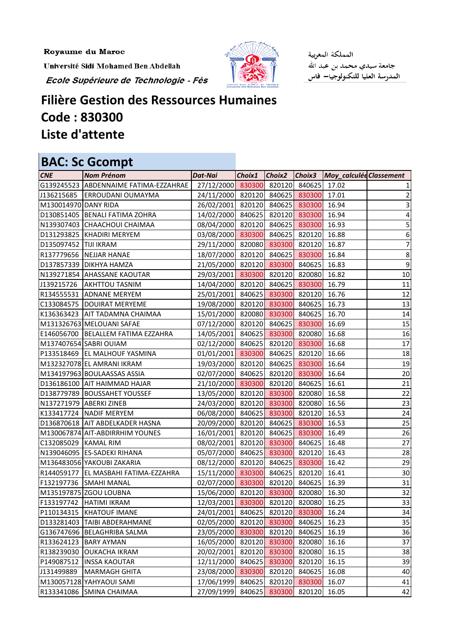Royaume du Maroc

Université Sidi Mohamed Ben Abdellah

Ecole Supérieure de Technologie - Fès



المملكة المغربية جامعة سيدي محمد بن عبد الله المدرسة العليا للتكنولوجيا– فاس

## **Filière Gestion des Ressources Humaines Code : 830300 Liste d'attente**

|                       | <b>BAC: Sc Gcompt</b>                  |                                       |        |        |                            |                         |                 |
|-----------------------|----------------------------------------|---------------------------------------|--------|--------|----------------------------|-------------------------|-----------------|
| <b>CNE</b>            | <b>Nom Prénom</b>                      | Dat-Nai                               | Choix1 | Choix2 | Choix3                     | Moy_calculée Classement |                 |
|                       | G139245523 ABDENNAIME FATIMA-EZZAHRAE  | 27/12/2000                            | 830300 |        | 820120 840625              | 17.02                   |                 |
|                       | J136215685   ERROUDANI OUMAYMA         | 24/11/2000 820120 840625 830300       |        |        |                            | 17.01                   | $\overline{2}$  |
| M130014970 DANY RIDA  |                                        | 26/02/2001                            |        |        | 820120 840625 830300       | 16.94                   | 3               |
|                       | D130851405   BENALI FATIMA ZOHRA       | 14/02/2000 840625 820120 830300       |        |        |                            | 16.94                   | $\vert 4 \vert$ |
|                       | N139307403 CHAACHOUI CHAIMAA           | 08/04/2000 820120 840625 830300       |        |        |                            | 16.93                   | 5               |
|                       | D131293825  KHADIRI MERYEM             | 03/08/2000                            |        |        | 830300 840625 820120       | 16.88                   | 6               |
| D135097452 TIJI IKRAM |                                        | 29/11/2000 820080 830300 820120       |        |        |                            | 16.87                   | $\overline{z}$  |
|                       | R137779656 NEJJAR HANAE                | 18/07/2000 820120 840625 830300       |        |        |                            | 16.84                   | 8 <sup>1</sup>  |
|                       | D137857339 DIKHYA HAMZA                | 21/05/2000 820120 830300 840625       |        |        |                            | 16.83                   | $\overline{9}$  |
|                       | N139271854 AHASSANE KAOUTAR            | 29/03/2001 830300 820120 820080       |        |        |                            | 16.82                   | 10              |
| J139215726            | <b>AKHTTOU TASNIM</b>                  | 14/04/2000 820120 840625 830300       |        |        |                            | 16.79                   | 11              |
|                       | R134555531 ADNANE MERYEM               | 25/01/2001                            |        |        | 840625 830300 820120       | 16.76                   | 12              |
|                       | C133084575   DOUIRAT MERYEME           | 19/08/2000 820120 830300 840625       |        |        |                            | 16.73                   | 13              |
|                       | K136363423 AIT TADAMNA CHAIMAA         | 15/01/2000 820080 830300 840625 16.70 |        |        |                            |                         | 14              |
|                       | M131326763 MELOUANI SAFAE              | 07/12/2000 820120 840625 830300       |        |        |                            | 16.69                   | 15              |
|                       | E146056700 BELALLEM FATIMA EZZAHRA     | 14/05/2001                            |        |        | 840625 830300 820080       | 16.68                   | 16              |
|                       | M137407654 SABRI OUIAM                 | 02/12/2000                            |        |        | 840625 820120 830300       | 16.68                   | 17              |
|                       | P133518469 EL MALHOUF YASMINA          | 01/01/2001 830300 840625 820120       |        |        |                            | 16.66                   | 18              |
|                       | M132327078 EL AMRANI IKRAM             | 19/03/2000 820120 840625 830300       |        |        |                            | 16.64                   | 19              |
|                       | M134197963 BOULAASSAS ASSIA            | 02/07/2000 840625 820120 830300       |        |        |                            | 16.64                   | 20              |
|                       | D136186100 AIT HAIMMAD HAJAR           | 21/10/2000 830300 820120 840625       |        |        |                            | 16.61                   | 21              |
|                       | D138779789 BOUSSAHET YOUSSEF           | 13/05/2000 820120 830300 820080       |        |        |                            | 16.58                   | 22              |
|                       | N137271979 ABERKI ZINEB                | 24/03/2000                            |        |        | 820120 830300 820080       | 16.56                   | 23              |
|                       | K133417724 NADIF MERYEM                | 06/08/2000 840625 830300 820120       |        |        |                            | 16.53                   | 24              |
|                       | D136870618 AIT ABDELKADER HASNA        | 20/09/2000 820120 840625 830300       |        |        |                            | 16.53                   | 25              |
|                       | M130067874 AIT-ABDIRRHIM YOUNES        | 16/01/2001                            |        |        | 820120 840625 830300       | 16.49                   | 26              |
| C132085029 KAMAL RIM  |                                        | 08/02/2001 820120 830300 840625       |        |        |                            | 16.48                   | 27              |
|                       | N139046095 ES-SADEKI RIHANA            | 05/07/2000 840625 830300 820120       |        |        |                            | 16.43                   | 28              |
|                       | M136483056 YAKOUBI ZAKARIA             | 08/12/2000 820120 840625 830300 16.42 |        |        |                            |                         | 29              |
|                       | R144059177   EL MASBAHI FATIMA-EZZAHRA | 15/11/2000                            |        |        | 830300 840625 820120 16.41 |                         | 30              |
|                       | F132197736 SMAHI MANAL                 | 02/07/2000                            | 830300 |        | 820120 840625              | 16.39                   | 31              |
|                       | M135197875 ZGOU LOUBNA                 | 15/06/2000                            |        |        | 820120 830300 820080       | 16.30                   | 32              |
|                       | F133197742  HATIMI IKRAM               | 12/03/2001                            | 830300 |        | 820120 820080              | 16.25                   | 33              |
|                       | P110134315 KHATOUF IMANE               | 24/01/2001                            | 840625 |        | 820120 830300              | 16.24                   | 34              |
|                       | D133281403 TAIBI ABDERAHMANE           | 02/05/2000                            |        |        | 820120 830300 840625       | 16.23                   | 35              |
|                       | G136747696 BELAGHRIBA SALMA            | 23/05/2000                            | 830300 |        | 820120 840625              | 16.19                   | 36              |
|                       | R133624123 BARY AYMAN                  | 16/05/2000                            | 820120 |        | 830300 820080              | 16.16                   | 37              |
|                       | R138239030 OUKACHA IKRAM               | 20/02/2001                            |        |        | 820120 830300 820080       | 16.15                   | 38              |
|                       | P149087512  INSSA KAOUTAR              | 12/11/2000                            | 840625 |        | 830300 820120              | 16.15                   | 39              |
| J131499889            | MARMAGH GHITA                          | 23/08/2000                            | 830300 |        | 820120 840625              | 16.08                   | 40              |
|                       | M130057128 YAHYAOUI SAMI               | 17/06/1999                            | 840625 | 820120 | 830300                     | 16.07                   | 41              |
|                       | R133341086 SMINA CHAIMAA               | 27/09/1999                            | 840625 | 830300 | 820120                     | 16.05                   | 42              |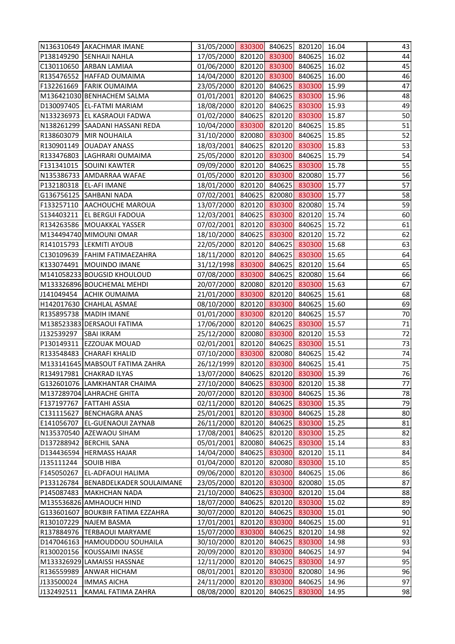|            | N136310649 AKACHMAR IMANE             | 31/05/2000 830300 840625 820120 16.04 |        |        |       | 43 |
|------------|---------------------------------------|---------------------------------------|--------|--------|-------|----|
|            | P138149290 SENHAJI NAHLA              | 17/05/2000 820120 830300 840625 16.02 |        |        |       | 44 |
|            | C130110650 ARBAN LAMIAA               | 01/06/2000 820120 830300 840625       |        |        | 16.02 | 45 |
|            | R135476552   HAFFAD OUMAIMA           | 14/04/2000 820120 830300 840625       |        |        | 16.00 | 46 |
|            | F132261669 FARIK OUMAIMA              | 23/05/2000 820120 840625 830300       |        |        | 15.99 | 47 |
|            | M136421030 BENHACHEM SALMA            | 01/01/2001 820120 840625 830300       |        |        | 15.96 | 48 |
|            | D130097405 EL-FATMI MARIAM            | 18/08/2000 820120 840625 830300       |        |        | 15.93 | 49 |
|            | N133236973 EL KASRAOUI FADWA          | 01/02/2000 840625 820120 830300       |        |        | 15.87 | 50 |
|            | N138261299 SAADANI HASSANI REDA       | 10/04/2000 830300 820120 840625       |        |        | 15.85 | 51 |
|            | R138603079 MIR NOUHAILA               | 31/10/2000 820080 830300 840625       |        |        | 15.85 | 52 |
|            | R130901149 OUADAY ANASS               | 18/03/2001 840625 820120 830300       |        |        | 15.83 | 53 |
|            | R133476803 LAGHRARI OUMAIMA           | 25/05/2000 820120 830300 840625       |        |        | 15.79 | 54 |
|            | F131341015 SOUINI KAWTER              | 09/09/2000 820120 840625 830300       |        |        | 15.78 | 55 |
|            | N135386733 AMDARRAA WAFAE             | 01/05/2000 820120 830300 820080       |        |        | 15.77 | 56 |
|            | P132180318 EL-AFI IMANE               | 18/01/2000 820120 840625 830300       |        |        | 15.77 | 57 |
|            | G136756125   SAHBANI NADA             | 07/02/2001 840625 820080 830300       |        |        | 15.77 | 58 |
|            | F133257110 AACHOUCHE MAROUA           | 13/07/2000 820120 830300 820080       |        |        | 15.74 | 59 |
|            | S134403211   EL BERGUI FADOUA         | 12/03/2001 840625 830300 820120       |        |        | 15.74 | 60 |
|            | R134263586   MOUAKKAL YASSER          | 07/02/2001 820120 830300 840625       |        |        | 15.72 | 61 |
|            | M134494740 MIMOUNI OMAR               | 18/10/2000 840625 830300 820120       |        |        | 15.72 | 62 |
|            | R141015793 LEKMITI AYOUB              | 22/05/2000 820120 840625 830300       |        |        | 15.68 | 63 |
|            | C130109639   FAHIM FATIMAEZAHRA       | 18/11/2000 820120 840625 830300       |        |        | 15.65 | 64 |
|            | K133074491   MOUINDO IMANE            | 31/12/1998 830300 840625 820120       |        |        | 15.64 | 65 |
|            | M141058233 BOUGSID KHOULOUD           | 07/08/2000 830300 840625 820080 15.64 |        |        |       | 66 |
|            | M133326896 BOUCHEMAL MEHDI            | 20/07/2000 820080 820120 830300       |        |        | 15.63 | 67 |
|            | J141049454 ACHIK OUMAIMA              | 21/01/2000 830300 820120 840625       |        |        | 15.61 | 68 |
|            | H142017630 CHAHLAL ASMAE              | 08/10/2000 820120 830300 840625       |        |        | 15.60 | 69 |
|            | R135895738   MADIH IMANE              | 01/01/2000 830300 820120 840625       |        |        | 15.57 | 70 |
|            | M138523383 DERSAOUI FATIMA            | 17/06/2000 820120 840625 830300       |        |        | 15.57 | 71 |
| J132539297 | <b>SBAI IKRAM</b>                     | 25/12/2000 820080 830300 820120       |        |        | 15.53 | 72 |
|            | P130149311 EZZOUAK MOUAD              | 02/01/2001 820120 840625 830300 15.51 |        |        |       | 73 |
|            | R133548483 CHARAFI KHALID             | 07/10/2000 830300 820080 840625 15.42 |        |        |       | 74 |
|            | M133141645 MABSOUT FATIMA ZAHRA       | 26/12/1999 820120 830300 840625       |        |        | 15.41 | 75 |
|            | R134917981 CHAKRAD ILYAS              | 13/07/2000 840625 820120 830300       |        |        | 15.39 | 76 |
|            | G132601076 LAMKHANTAR CHAIMA          | 27/10/2000 840625 830300 820120       |        |        | 15.38 | 77 |
|            | M137289704 LAHRACHE GHITA             | 20/07/2000 820120 830300              |        | 840625 | 15.36 | 78 |
|            | F137197767   FATTAHI ASSIA            | 02/11/2000 820120 840625 830300       |        |        | 15.35 | 79 |
| C131115627 | <b>BENCHAGRA ANAS</b>                 | 25/01/2001 820120 830300              |        | 840625 | 15.28 | 80 |
| E141056707 | <b>EL-GUENAOUI ZAYNAB</b>             | 26/11/2000 820120 840625              |        | 830300 | 15.25 | 81 |
|            | N135370540 AZEWAOU SIHAM              | 17/08/2001 840625 820120 830300       |        |        | 15.25 | 82 |
|            | D137288942 BERCHIL SANA               | 05/01/2001 820080 840625 830300       |        |        | 15.14 | 83 |
|            | D134436594 HERMASS HAJAR              | 14/04/2000 840625 830300              |        | 820120 | 15.11 | 84 |
| J135111244 | <b>SOUIB HIBA</b>                     | 01/04/2000 820120 820080 830300       |        |        | 15.10 | 85 |
| F145050267 | <b>EL-ADFAOUI HALIMA</b>              | 09/06/2000 820120 830300              |        | 840625 | 15.06 | 86 |
|            | P133126784   BENABDELKADER SOULAIMANE | 23/05/2000 820120 830300 820080       |        |        | 15.05 | 87 |
|            | P145087483   MAKHCHAN NADA            | 21/10/2000 840625 830300              |        | 820120 | 15.04 | 88 |
|            | M135536826 AMHAOUCH HIND              | 18/07/2000 840625 820120              |        | 830300 | 15.02 | 89 |
|            | G133601607 BOUKBIR FATIMA EZZAHRA     | 30/07/2000 820120 840625 830300       |        |        | 15.01 | 90 |
|            | R130107229   NAJEM BASMA              | 17/01/2001 820120 830300              |        | 840625 | 15.00 | 91 |
|            | R137884976  TERBAOUI MARYAME          | 15/07/2000 830300 840625              |        | 820120 | 14.98 | 92 |
|            | D147046163 HAMOUDDOU SOUHAILA         | 30/10/2000 820120 840625              |        | 830300 | 14.98 | 93 |
|            | R130020156 KOUSSAIMI INASSE           | 20/09/2000 820120 830300              |        | 840625 | 14.97 | 94 |
|            | M133326929 LAMAISSI HASSNAE           | 12/11/2000 820120 840625 830300       |        |        | 14.97 | 95 |
| R136559989 | <b>ANWAR HICHAM</b>                   | 08/01/2001 820120 830300              |        | 820080 | 14.96 | 96 |
| J133500024 | <b>IMMAS AICHA</b>                    | 24/11/2000 820120                     | 830300 | 840625 | 14.96 | 97 |
| J132492511 | KAMAL FATIMA ZAHRA                    | 08/08/2000 820120 840625              |        | 830300 | 14.95 | 98 |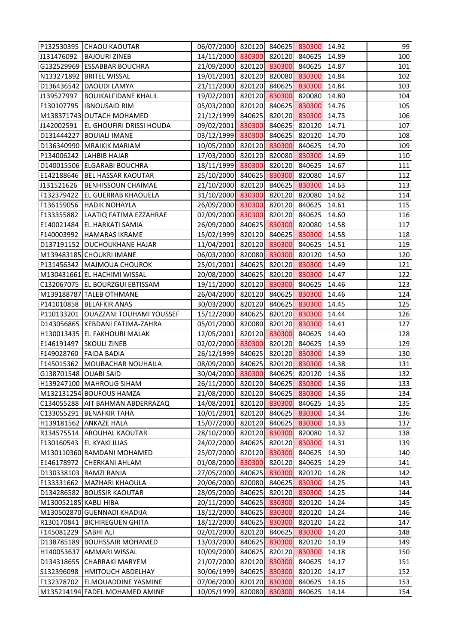|                       | P132530395 CHAOU KAOUTAR              | 06/07/2000 820120 840625 830300       |        |        | 14.92 | 99  |
|-----------------------|---------------------------------------|---------------------------------------|--------|--------|-------|-----|
| J131476092            | <b>BAJOURI ZINEB</b>                  | 14/11/2000 830300 820120 840625 14.89 |        |        |       | 100 |
|                       | G132529969 ESSABBAR BOUCHRA           | 21/09/2000 820120 830300 840625 14.87 |        |        |       | 101 |
|                       | N133271892 BRITEL WISSAL              | 19/01/2001 820120 820080 830300       |        |        | 14.84 | 102 |
|                       | D136436542 DAOUDI LAMYA               | 21/11/2000 820120 840625 830300       |        |        | 14.84 | 103 |
| J139527997            | <b>BOUIKALFIDANE KHALIL</b>           | 19/02/2001 820120 830300 820080       |        |        | 14.80 | 104 |
|                       | F130107795  IBNOUSAID RIM             | 05/03/2000 820120 840625 830300       |        |        | 14.76 | 105 |
|                       | M138371743 OUTACH MOHAMED             | 21/12/1999 840625 820120 830300       |        |        | 14.73 | 106 |
| J142002591            | <b>EL GHOUFIRI DRISSI HOUDA</b>       | 09/02/2001 830300 840625 820120       |        |        | 14.71 | 107 |
|                       | D131444227   BOUIALI IMANE            | 03/12/1999 830300 840625 820120       |        |        | 14.70 | 108 |
|                       | D136340990 MRAIKIK MARIAM             | 10/05/2000 820120 830300 840625 14.70 |        |        |       | 109 |
|                       | P134006242 LAHBIB HAJAR               | 17/03/2000 820120 820080 830300       |        |        | 14.69 | 110 |
|                       | D140015506 ELGARABI BOUCHRA           | 18/11/1999 830300 820120 840625       |        |        | 14.67 | 111 |
|                       | E142188646   BEL HASSAR KAOUTAR       | 25/10/2000 840625 830300 820080       |        |        | 14.67 | 112 |
| J131521626            | <b>BENHISSOUN CHAIMAE</b>             | 21/10/2000 820120 840625 830300       |        |        | 14.63 | 113 |
|                       | F132379422 EL GUERRAB KHAOUELA        | 31/10/2000 830300 820120 820080       |        |        | 14.62 | 114 |
|                       | F136159056 HADIK NOHAYLA              | 26/09/2000 830300 820120 840625       |        |        | 14.61 | 115 |
|                       | F133355882  LAATIQ FATIMA EZZAHRAE    | 02/09/2000 830300 820120 840625       |        |        | 14.60 | 116 |
|                       | E140021484 EL HARKATI SAMIA           | 26/09/2000 840625 830300 820080       |        |        | 14.58 | 117 |
|                       | F140003992  HAMARAS IKRAME            | 15/02/1999 820120 840625 830300       |        |        | 14.58 | 118 |
|                       | D137191152 OUCHOUKHANE HAJAR          | 11/04/2001 820120 830300 840625       |        |        | 14.51 | 119 |
|                       | M139483185 CHOUKRI IMANE              | 06/03/2000 820080 830300 820120       |        |        | 14.50 | 120 |
|                       | P131456342 MAJMOUA CHOUROK            | 25/01/2001 840625 820120 830300       |        |        | 14.49 | 121 |
|                       | M130431661 EL HACHIMI WISSAL          | 20/08/2000 840625 820120 830300       |        |        | 14.47 | 122 |
|                       | C132067075   EL BOURZGUI EBTISSAM     | 19/11/2000 820120 830300 840625       |        |        | 14.46 | 123 |
|                       | M139188787 TALEB OTHMANE              | 26/04/2000 820120 840625 830300       |        |        | 14.46 | 124 |
|                       | P141010858   BELAFKIR ANAS            | 30/03/2000 820120 840625 830300       |        |        | 14.45 | 125 |
|                       | P110133201   OUAZZANI TOUHAMI YOUSSEF | 15/12/2000 840625 820120 830300       |        |        | 14.44 | 126 |
|                       | D143056865 KEBDANI FATIMA-ZAHRA       | 05/01/2000 820080 820120 830300       |        |        | 14.41 | 127 |
|                       | H130013435 EL FAKHOURI MALAK          | 12/05/2001 820120 830300 840625       |        |        | 14.40 | 128 |
|                       | E146191497 SKOULI ZINEB               | 02/02/2000 830300 820120 840625 14.39 |        |        |       | 129 |
|                       | F149028760 FAIDA BADIA                | 26/12/1999 840625 820120 830300 14.39 |        |        |       | 130 |
| F145015362            | MOUBACHAR NOUHAILA                    | 08/09/2000 840625 820120 830300       |        |        | 14.38 | 131 |
| G138701548 OUABI SAID |                                       | 30/04/2000 830300 840625 820120       |        |        | 14.36 | 132 |
|                       | H139247100 MAHROUG SIHAM              | 26/11/2000 820120 840625 830300       |        |        | 14.36 | 133 |
|                       | M132131254 BOUFOUS HAMZA              | 21/08/2000 820120 840625              |        | 830300 | 14.36 | 134 |
|                       | C134055288 AIT BAHMAN ABDERRAZAQ      | 14/08/2001 820120 830300 840625       |        |        | 14.35 | 135 |
| C133055291            | <b>BENAFKIR TAHA</b>                  | 10/01/2001 820120 840625 830300       |        |        | 14.34 | 136 |
|                       | H139181562 ANKAZE HALA                | 15/07/2000 820120 840625              |        | 830300 | 14.33 | 137 |
|                       | R134575514 AROUHAL KAOUTAR            | 28/10/2000 820120 830300              |        | 820080 | 14.32 | 138 |
|                       | F130160543 EL KYAKI ILIAS             | 24/02/2000 840625 820120 830300       |        |        | 14.31 | 139 |
|                       | M130110360 RAMDANI MOHAMED            | 25/07/2000 820120 830300              |        | 840625 | 14.30 | 140 |
|                       | E146178972 CHERKANI AHLAM             | 01/08/2000 830300 820120 840625       |        |        | 14.29 | 141 |
|                       | D130338103 RAMZI RANIA                | 27/05/2000 840625 830300              |        | 820120 | 14.28 | 142 |
| F133331662            | MAZHARI KHAOULA                       | 20/06/2000 820080 840625 830300       |        |        | 14.25 | 143 |
|                       | D134286582 BOUSSIR KAOUTAR            | 28/05/2000 840625 820120              |        | 830300 | 14.25 | 144 |
| M130052185 KABLI HIBA |                                       | 20/11/2000 840625 830300              |        | 820120 | 14.24 | 145 |
|                       | M130502870 GUENNADI KHADIJA           | 18/12/2000 840625 830300              |        | 820120 | 14.24 | 146 |
|                       | R130170841   BICHIREGUEN GHITA        | 18/12/2000 840625 830300              |        | 820120 | 14.22 | 147 |
| F145081229            | <b>SABHI ALI</b>                      | 02/01/2000 820120                     | 840625 | 830300 | 14.20 | 148 |
|                       | D138785189 BOUHSSAIR MOHAMED          | 13/03/2000 840625 830300              |        | 820120 | 14.19 | 149 |
|                       | H140053637 AMMARI WISSAL              | 10/09/2000 840625 820120              |        | 830300 | 14.18 | 150 |
|                       | D134318655 CHARRAKI MARYEM            | 21/07/2000 820120 830300              |        | 840625 | 14.17 | 151 |
| S132396098            | <b>HMITOUCH ABDELHAY</b>              | 30/06/1999 840625 830300              |        | 820120 | 14.17 | 152 |
| F132378702            | <b>ELMOUADDINE YASMINE</b>            | 07/06/2000 820120                     | 830300 | 840625 | 14.16 | 153 |
|                       | M135214194 FADEL MOHAMED AMINE        | 10/05/1999 820080 830300              |        | 840625 | 14.14 | 154 |
|                       |                                       |                                       |        |        |       |     |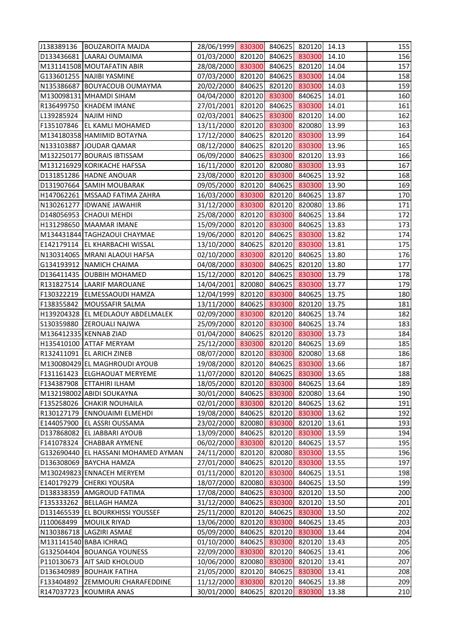|                       | J138389136   BOUZAROITA MAJDA       | 28/06/1999 830300 840625 820120 14.13 |        |        |       | 155 |
|-----------------------|-------------------------------------|---------------------------------------|--------|--------|-------|-----|
|                       | D133436681 LAARAJ OUMAIMA           | 01/03/2000 820120 840625 830300 14.10 |        |        |       | 156 |
|                       | M131141508 MOUTAFATIN ABIR          | 28/08/2000 830300 840625 820120 14.04 |        |        |       | 157 |
|                       | G133601255 NAJIBI YASMINE           | 07/03/2000 820120 840625 830300       |        |        | 14.04 | 158 |
|                       | N135386687 BOUYACOUB OUMAYMA        | 20/02/2000 840625 820120 830300       |        |        | 14.03 | 159 |
|                       | M130098131 MHAMDI SIHAM             | 04/04/2000 820120 830300 840625       |        |        | 14.01 | 160 |
|                       | R136499750 KHADEM IMANE             | 27/01/2001 820120 840625 830300       |        |        | 14.01 | 161 |
| L139285924 NAJIM HIND |                                     | 02/03/2001 840625 830300 820120 14.00 |        |        |       | 162 |
|                       | F135107846 EL KAMLI MOHAMED         | 13/11/2000 820120 830300 820080       |        |        | 13.99 | 163 |
|                       | M134180358 HAMIMID BOTAYNA          | 17/12/2000 840625 820120 830300       |        |        | 13.99 | 164 |
|                       | N133103887 JOUDAR QAMAR             | 08/12/2000 840625 820120 830300       |        |        | 13.96 | 165 |
|                       | M132250177 BOURAIS IBTISSAM         | 06/09/2000 840625 830300 820120       |        |        | 13.93 | 166 |
|                       | M131216929 KORIKACHE HAFSSA         | 16/11/2000 820120 820080 830300       |        |        | 13.93 | 167 |
|                       | D131851286 HADNE ANOUAR             | 23/08/2000 820120 830300 840625       |        |        | 13.92 | 168 |
|                       | D131907664 SAMIH MOUBARAK           | 09/05/2000 820120 840625 830300       |        |        | 13.90 | 169 |
|                       | H147062261   MSSAAD FATIMA ZAHRA    | 16/03/2000 830300 820120 840625 13.87 |        |        |       | 170 |
|                       | N130261277  IDWANE JAWAHIR          | 31/12/2000 830300 820120 820080       |        |        | 13.86 | 171 |
|                       | D148056953 CHAOUI MEHDI             | 25/08/2000 820120 830300 840625       |        |        | 13.84 | 172 |
|                       | H131298650 MAAMAR IMANE             | 15/09/2000 820120 830300 840625       |        |        | 13.83 | 173 |
|                       | M134431844 TAGHZAOUI CHAYMAE        | 19/06/2000 820120 840625 830300       |        |        | 13.82 | 174 |
|                       | E142179114   EL KHARBACHI WISSAL    | 13/10/2000 840625 820120 830300       |        |        | 13.81 | 175 |
|                       | N130314065   MRANI ALAOUI HAFSA     | 02/10/2000 830300 820120 840625 13.80 |        |        |       | 176 |
|                       | G134193912 NAMICH CHAIMA            | 04/08/2000 830300 840625 820120 13.80 |        |        |       | 177 |
|                       | D136411435 OUBBIH MOHAMED           | 15/12/2000 820120 840625 830300 13.79 |        |        |       | 178 |
|                       | R131827514  LAARIF MAROUANE         | 14/04/2001 820080 840625 830300       |        |        | 13.77 | 179 |
|                       | F130322219 ELMESSAOUDI HAMZA        | 12/04/1999 820120 830300 840625 13.75 |        |        |       | 180 |
|                       | F138355842   MOUSSAFIR SALMA        | 13/11/2000 840625 830300 820120 13.75 |        |        |       | 181 |
|                       | H139204328 EL MEDLAOUY ABDELMALEK   | 02/09/2000 830300 820120 840625 13.74 |        |        |       | 182 |
|                       | S130359880 ZEROUALI NAJWA           | 25/09/2000 820120 830300 840625       |        |        | 13.74 | 183 |
|                       | M136412335 KENNAB ZIAD              | 01/04/2000 840625 820120 830300       |        |        | 13.73 | 184 |
|                       | H135410100 ATTAF MERYAM             | 25/12/2000 830300 820120 840625 13.69 |        |        |       | 185 |
|                       | R132411091 EL ARICH ZINEB           | 08/07/2000 820120 830300 820080 13.68 |        |        |       | 186 |
|                       | M130080429 EL MAGHROUDI AYOUB       | 19/08/2000 820120 840625 830300       |        |        | 13.66 | 187 |
|                       | F131161423 ELGHAOUAT MERYEME        | 11/07/2000 820120 840625 830300       |        |        | 13.65 | 188 |
|                       | F134387908 ETTAHIRI ILHAM           | 18/05/2000 820120 830300              |        | 840625 | 13.64 | 189 |
|                       | M132198002 ABIDI SOUKAYNA           | 30/01/2000 840625 830300              |        | 820080 | 13.64 | 190 |
|                       | F135258026 CHAKIR NOUHAILA          | 02/01/2000 830300 820120 840625       |        |        | 13.62 | 191 |
|                       | R130127179 ENNOUAIMI ELMEHDI        | 19/08/2000 840625 820120 830300       |        |        | 13.62 | 192 |
|                       | E144057900 EL ASSRI OUSSAMA         | 23/02/2000 820080 830300              |        | 820120 | 13.61 | 193 |
|                       | D137868082 EL JABBARI AYOUB         | 13/09/2000 840625 820120 830300       |        |        | 13.59 | 194 |
|                       | F141078324 CHABBAR AYMENE           | 06/02/2000 830300 820120 840625       |        |        | 13.57 | 195 |
|                       | G132690440 EL HASSANI MOHAMED AYMAN | 24/11/2000 820120 820080              |        | 830300 | 13.55 | 196 |
|                       | D136308069 BAYCHA HAMZA             | 27/01/2000 840625 820120              |        | 830300 | 13.55 | 197 |
|                       | M130249823 ENNACEH MERYEM           | 01/11/2000 820120 830300              |        | 840625 | 13.51 | 198 |
|                       | E140179279 CHERKI YOUSRA            | 18/07/2000 820080 830300 840625       |        |        | 13.50 | 199 |
|                       | D138338359 AMGROUD FATIMA           | 17/08/2000 840625 830300              |        | 820120 | 13.50 | 200 |
|                       | F135333262 BELLAGH HAMZA            | 31/12/2000 840625 830300              |        | 820120 | 13.50 | 201 |
|                       | D131465539 EL BOURKHISSI YOUSSEF    | 25/11/2000 820120 840625 830300       |        |        | 13.50 | 202 |
| J110068499            | <b>MOUILK RIYAD</b>                 | 13/06/2000 820120 830300              |        | 840625 | 13.45 | 203 |
|                       | N130386718 LAGZIRI ASMAE            | 05/09/2000 840625 820120 830300       |        |        | 13.44 | 204 |
|                       | M131141540 BABA ICHRAQ              | 01/10/2000 840625 830300              |        | 820120 | 13.43 | 205 |
|                       | G132504404 BOUANGA YOUNESS          | 22/09/2000 830300 820120              |        | 840625 | 13.41 | 206 |
|                       | P110130673 AIT SAID KHOLOUD         | 10/06/2000 820080 830300              |        | 820120 | 13.41 | 207 |
|                       | D136340989 BOUHAIK FATIHA           | 21/05/2000 820120                     | 840625 | 830300 | 13.41 | 208 |
| F133404892            | <b>ZEMMOURI CHARAFEDDINE</b>        | 11/12/2000 830300                     | 820120 | 840625 | 13.38 | 209 |
| R147037723            | KOUMIRA ANAS                        | 30/01/2000 840625                     | 820120 | 830300 | 13.38 | 210 |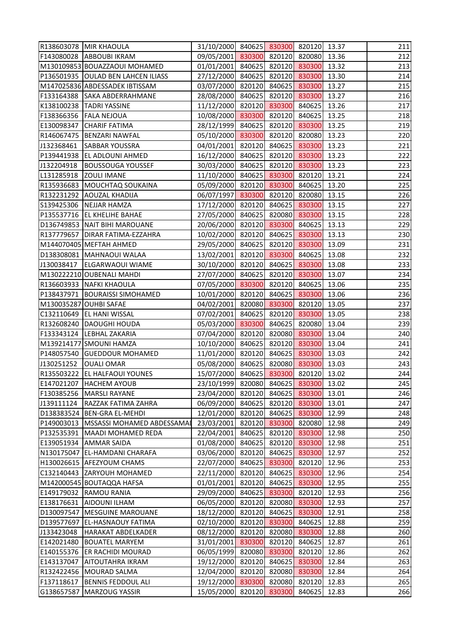|            | R138603078 MIR KHAOULA             | 31/10/2000 840625 830300 820120 13.37 |                      |                      |       | 211 |
|------------|------------------------------------|---------------------------------------|----------------------|----------------------|-------|-----|
|            | F143080028 ABBOUBI IKRAM           | 09/05/2001 830300 820120 820080       |                      |                      | 13.36 | 212 |
|            | M130109853 BOUAZZAOUI MOHAMED      | 01/01/2001 840625 820120 830300       |                      |                      | 13.32 | 213 |
|            | P136501935 OULAD BEN LAHCEN ILIASS | 27/12/2000 840625 820120 830300       |                      |                      | 13.30 | 214 |
|            | M147025836 ABDESSADEK IBTISSAM     | 03/07/2000 820120 840625 830300       |                      |                      | 13.27 | 215 |
|            | F133164388 SAKA ABDERRAHMANE       | 28/08/2000 840625 820120 830300       |                      |                      | 13.27 | 216 |
|            | K138100238 TADRI YASSINE           | 11/12/2000 820120 830300 840625       |                      |                      | 13.26 | 217 |
|            | F138366356   FALA NEJOUA           | 10/08/2000 830300 820120 840625       |                      |                      | 13.25 | 218 |
| E130098347 | <b>CHARIF FATIMA</b>               | 28/12/1999 840625 820120 830300       |                      |                      | 13.25 | 219 |
|            | R146067475   BENZARI NAWFAL        | 05/10/2000 830300 820120 820080       |                      |                      | 13.23 | 220 |
| J132368461 | <b>SABBAR YOUSSRA</b>              | 04/01/2001 820120 840625 830300       |                      |                      | 13.23 | 221 |
|            | P139441938 EL ADLOUNI AHMED        | 16/12/2000 840625 820120 830300       |                      |                      | 13.23 | 222 |
| J132204918 | <b>BOUSSOUGA YOUSSEF</b>           | 30/03/2000 840625 820120 830300       |                      |                      | 13.23 | 223 |
| L131285918 | <b>ZOULI IMANE</b>                 | 11/10/2000 840625 830300 820120       |                      |                      | 13.21 | 224 |
|            | R135936683 MOUCHTAQ SOUKAINA       | 05/09/2000 820120 830300 840625       |                      |                      | 13.20 | 225 |
|            | R132231292 AOUZAL KHADIJA          | 06/07/1997 830300 820120 820080       |                      |                      | 13.15 | 226 |
|            | S139425306 NEJJAR HAMZA            | 17/12/2000 820120 840625 830300       |                      |                      | 13.15 | 227 |
|            | P135537716 EL KHELIHE BAHAE        | 27/05/2000 840625 820080 830300       |                      |                      | 13.15 | 228 |
|            | D136749853 NAIT BIHI MAROUANE      | 20/06/2000 820120 830300 840625       |                      |                      | 13.13 | 229 |
|            | R137779657   DIRAR FATIMA-EZZAHRA  | 10/02/2000 820120 840625 830300       |                      |                      | 13.13 | 230 |
|            | M144070405 MEFTAH AHMED            | 29/05/2000 840625 820120 830300       |                      |                      | 13.09 | 231 |
|            | D138308081   MAHNAOUI WALAA        | 13/02/2001 820120 830300 840625       |                      |                      | 13.08 | 232 |
|            | J130038417   ELGARWAOUI WIAME      | 30/10/2000 820120 840625 830300       |                      |                      | 13.08 | 233 |
|            | M130222210 OUBENALI MAHDI          | 27/07/2000 840625 820120 830300       |                      |                      | 13.07 | 234 |
|            | R136603933   NAFKI KHAOULA         | 07/05/2000 830300 820120 840625       |                      |                      | 13.06 | 235 |
|            | P138437971   BOURAISSI SIMOHAMED   | 10/01/2000 820120 840625 830300       |                      |                      | 13.06 | 236 |
|            | M130035287 OUHBI SAFAE             | 04/02/2001 820080 830300 820120       |                      |                      | 13.05 | 237 |
|            | C132110649 EL HANI WISSAL          | 07/02/2001 840625 820120 830300       |                      |                      | 13.05 | 238 |
|            | R132608240   DAOUGHI HOUDA         | 05/03/2000 830300 840625 820080       |                      |                      | 13.04 | 239 |
|            | F133343124  LEBHAL ZAKARIA         | 07/04/2000 820120 820080 830300       |                      |                      | 13.04 | 240 |
|            | M139214177 SMOUNI HAMZA            | 10/10/2000 840625 820120 830300       |                      |                      | 13.04 | 241 |
|            | P148057540 GUEDDOUR MOHAMED        | 11/01/2000 820120 840625 830300 13.03 |                      |                      |       | 242 |
| J130251252 | <b>OUALI OMAR</b>                  | 05/08/2000                            |                      | 840625 820080 830300 | 13.03 | 243 |
|            | R135503222 EL HALFAOUI YOUNES      | 15/07/2000 840625 830300 820120       |                      |                      | 13.02 | 244 |
| E147021207 | <b>HACHEM AYOUB</b>                | 23/10/1999 820080 840625 830300       |                      |                      | 13.02 | 245 |
| F130385256 | MARSLI RAYANE                      | 23/04/2000 820120 840625 830300       |                      |                      | 13.01 | 246 |
| J139111124 | RAZZAK FATIMA ZAHRA                | 06/09/2000 840625 820120 830300       |                      |                      | 13.01 | 247 |
|            | D138383524 BEN-GRA EL-MEHDI        | 12/01/2000                            | 820120 840625 830300 |                      | 12.99 | 248 |
| P149003013 | MSSASSI MOHAMED ABDESSAMAI         | 23/03/2001                            | 820120 830300        | 820080               | 12.98 | 249 |
| P132535391 | MAADI MOHAMED REDA                 | 22/04/2001                            |                      | 840625 820120 830300 | 12.98 | 250 |
|            | E139051934   AMMAR SAIDA           | 01/08/2000 840625 820120 830300       |                      |                      | 12.98 | 251 |
|            | N130175047 EL-HAMDANI CHARAFA      | 03/06/2000 820120 840625 830300       |                      |                      | 12.97 | 252 |
|            | H130026615 AFEZYOUM CHAMS          | 22/07/2000                            | 840625 830300        | 820120               | 12.96 | 253 |
|            | C132140443 ZARYOUH MOHAMED         | 22/11/2000                            | 820120 840625        | 830300               | 12.96 | 254 |
|            | M142000545 BOUTAQQA HAFSA          | 01/01/2001                            |                      | 820120 840625 830300 | 12.95 | 255 |
|            | E149179032   RAMOU RANIA           | 29/09/2000 840625 830300              |                      | 820120               | 12.93 | 256 |
| E138176631 | <b>AIDOUNI ILHAM</b>               | 06/05/2000 820120 820080 830300       |                      |                      | 12.93 | 257 |
|            | D130097547   MESGUINE MAROUANE     | 18/12/2000                            | 820120 840625        | 830300               | 12.91 | 258 |
| D139577697 | <b>EL-HASNAOUY FATIMA</b>          | 02/10/2000                            | 820120 830300        | 840625               | 12.88 | 259 |
| J133423048 | <b>HARAKAT ABDELKADER</b>          | 08/12/2000                            | 820120 820080 830300 |                      | 12.88 | 260 |
| E142021480 | <b>BOUATEL MARYEM</b>              | 31/01/2001                            | 830300 820120        | 840625               | 12.87 | 261 |
|            | E140155376 ER RACHIDI MOURAD       | 06/05/1999                            | 820080 830300        | 820120               | 12.86 | 262 |
| E143137047 | <b>AITOUTAHRA IKRAM</b>            | 19/12/2000 820120 840625              |                      | 830300               | 12.84 | 263 |
| R132422456 | MOURAD SALMA                       | 12/04/2000                            | 820120 820080        | 830300               | 12.84 | 264 |
| F137118617 | <b>BENNIS FEDDOUL ALI</b>          | 19/12/2000 830300 820080              |                      | 820120               | 12.83 | 265 |
| G138657587 | <b>MARZOUG YASSIR</b>              | 15/05/2000                            | 820120 830300        | 840625               | 12.83 | 266 |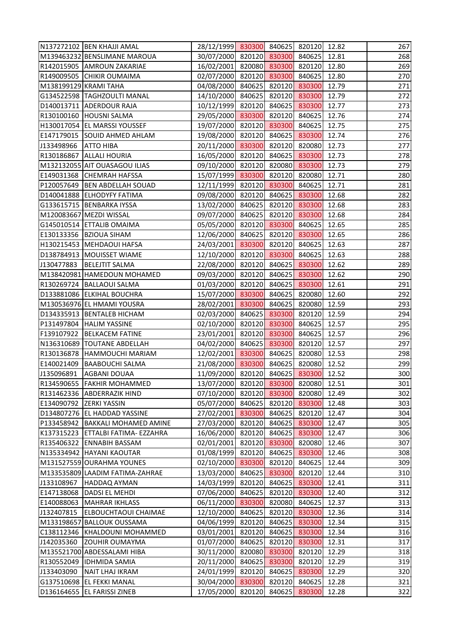| 30/07/2000 820120 830300 840625 12.81<br>M139463232 BENSLIMANE MAROUA<br>16/02/2001 820080 830300 820120 12.80<br>R142015905 AMROUN ZAKARIAE<br>02/07/2000 820120 830300 840625<br>R149009505 CHIKIR OUMAIMA<br>12.80<br>04/08/2000 840625 820120 830300<br>M138199129 KRAMI TAHA<br>12.79<br>14/10/2000 840625 820120 830300<br>G134522598  TAGHZOULTI MANAL<br>12.79<br>10/12/1999 820120 840625 830300<br>D140013711 ADERDOUR RAJA<br>12.77<br>29/05/2000 830300 820120 840625<br>12.76<br>R130100160 HOUSNI SALMA<br>H130017054 EL MARSSI YOUSSEF<br>19/07/2000 820120 830300 840625<br>12.75<br>19/08/2000 820120 840625 830300<br>E147179015 SOUID AHMED AHLAM<br>12.74<br>20/11/2000 830300 820120 820080<br>12.73<br>J133498966 ATTO HIBA<br>16/05/2000 820120 840625 830300<br>R130186867 ALLALI HOURIA<br>12.73<br>09/10/2000 820120 820080 830300<br>M132132055 AIT OUASAGOU ILIAS<br>12.73<br>15/07/1999 830300 820120 820080<br>E149031368 CHEMRAH HAFSSA<br>12.71<br>P120057649  BEN ABDELLAH SOUAD<br>12/11/1999 820120 830300 840625<br>12.71<br>09/08/2000 820120 840625 830300<br>12.68<br>D140041888 ELHODYFY FATIMA<br>13/02/2000 840625 820120 830300<br>12.68<br>G133615715   BENBARKA IYSSA<br>09/07/2000 840625 820120 830300<br>M120083667 MEZDI WISSAL<br>12.68<br>05/05/2000 820120 830300 840625<br>G145010514 ETTALIB OMAIMA<br>12.65<br>12/06/2000 840625 820120 830300<br>E130133356 BZIOUA SIHAM<br>12.65<br>24/03/2001 830300 820120 840625<br>H130215453 MEHDAOUI HAFSA<br>12.63<br>12/10/2000 820120 830300 840625<br>D138784913   MOUISSET WIAME<br>12.63<br>22/08/2000 820120 840625 830300<br>J130477883   BELEJTIT SALMA<br>12.62<br>09/03/2000 820120 840625 830300<br>12.62<br>M138420981 HAMEDOUN MOHAMED<br>01/03/2000 820120 840625 830300<br>R130269724   BALLAOUI SALMA<br>12.61<br>15/07/2000 830300 840625 820080<br>D133881086 ELKIHAL BOUCHRA<br>12.60<br>28/02/2001 830300 840625 820080<br>M130536976 EL HMAMI YOUSRA<br>12.59<br>02/03/2000 840625 830300 820120<br>D134335913   BENTALEB HICHAM<br>12.59<br>02/10/2000 820120 830300 840625<br>P131497804 HALIM YASSINE<br>12.57<br>23/01/2001 820120 830300 840625<br>F139107922 BELKACEM FATINE<br>12.57<br>04/02/2000 840625 830300 820120 12.57<br>N136310689  TOUTANE ABDELLAH<br>12/02/2001 830300 840625 820080 12.53<br>R130136878 HAMMOUCHI MARIAM<br>21/08/2000 830300 840625 820080<br>E140021409<br><b>BAABOUCHI SALMA</b><br>12.52<br>J135096891<br>11/09/2000 820120 840625 830300<br><b>AGBANI DOUAA</b><br>12.52<br>13/07/2000 820120 830300<br>R134590655   FAKHIR MOHAMMED<br>820080<br>12.51<br>R131462336 ABDERRAZIK HIND<br>07/10/2000 820120 830300<br>820080<br>12.49<br>05/07/2000 840625 820120 830300<br>12.48<br>E134090792 ZERKI YASSIN<br>27/02/2001 830300<br>820120<br>D134807276 EL HADDAD YASSINE<br>840625<br>12.47<br>27/03/2000 820120 840625<br>830300<br>P133458942   BAKKALI MOHAMED AMINE<br>12.47<br>16/06/2000 820120 840625<br>830300<br>K137315223 ETTALBI FATIMA- EZZAHRA<br>12.47<br>02/01/2001 820120 830300<br>R135406322 ENNABIH BASSAM<br>820080<br>12.46<br>01/08/1999 820120 840625<br>830300<br>N135334942 HAYANI KAOUTAR<br>12.46<br>02/10/2000 830300 820120<br>M131527559 OURAHMA YOUNES<br>840625<br>12.44<br>13/03/2000 840625<br>M133535809 LAADIM FATIMA-ZAHRAE<br>830300<br>820120<br>12.44<br>14/03/1999 820120<br>830300<br>J133108967<br>840625<br>12.41<br>HADDAQ AYMAN<br>07/06/2000 840625<br>820120<br>830300<br>E147138068<br><b>DADSI EL MEHDI</b><br>12.40<br>06/11/2000 830300 820080<br>E140088063<br>MAHRAR IKHLASS<br>840625<br>12.37<br>12/10/2000 840625 820120<br>830300<br>12.36<br>J132407815<br><b>ELBOUCHTAOUI CHAIMAE</b><br>04/06/1999 820120 840625<br>830300<br>M133198657 BALLOUK OUSSAMA<br>12.34<br>C138112346 KHALDOUNI MOHAMMED<br>03/01/2001<br>820120<br>840625<br>830300<br>12.34<br>01/07/2000 840625<br>820120<br>830300<br>J142035360<br><b>ZOUHIR OUMAYMA</b><br>12.31<br>M135521700 ABDESSALAMI HIBA<br>30/11/2000 820080<br>830300<br>820120<br>12.29<br>R130552049  IDHMIDA SAMIA<br>20/11/2000 840625<br>830300<br>820120<br>12.29<br>24/01/1999 820120<br>830300<br>J133403090<br><b>NAIT LHAJ IKRAM</b><br>840625<br>12.29<br>30/04/2000<br>830300<br>G137510698 EL FEKKI MANAL<br>820120<br>840625<br>12.28<br>D136164655 EL FARISSI ZINEB<br>17/05/2000<br>820120<br>840625<br>830300<br>12.28 | N137272102 BEN KHAJJI AMAL | 28/12/1999 830300 840625 820120 12.82 |  |  | 267 |
|----------------------------------------------------------------------------------------------------------------------------------------------------------------------------------------------------------------------------------------------------------------------------------------------------------------------------------------------------------------------------------------------------------------------------------------------------------------------------------------------------------------------------------------------------------------------------------------------------------------------------------------------------------------------------------------------------------------------------------------------------------------------------------------------------------------------------------------------------------------------------------------------------------------------------------------------------------------------------------------------------------------------------------------------------------------------------------------------------------------------------------------------------------------------------------------------------------------------------------------------------------------------------------------------------------------------------------------------------------------------------------------------------------------------------------------------------------------------------------------------------------------------------------------------------------------------------------------------------------------------------------------------------------------------------------------------------------------------------------------------------------------------------------------------------------------------------------------------------------------------------------------------------------------------------------------------------------------------------------------------------------------------------------------------------------------------------------------------------------------------------------------------------------------------------------------------------------------------------------------------------------------------------------------------------------------------------------------------------------------------------------------------------------------------------------------------------------------------------------------------------------------------------------------------------------------------------------------------------------------------------------------------------------------------------------------------------------------------------------------------------------------------------------------------------------------------------------------------------------------------------------------------------------------------------------------------------------------------------------------------------------------------------------------------------------------------------------------------------------------------------------------------------------------------------------------------------------------------------------------------------------------------------------------------------------------------------------------------------------------------------------------------------------------------------------------------------------------------------------------------------------------------------------------------------------------------------------------------------------------------------------------------------------------------------------------------------------------------------------------------------------------------------------------------------------------------------------------------------------------------------------------------------------------------------------------------------------------------------------------------------------------------------------------------------------------------------------------------------------------------------------------------------------------------------------------------------------------------------------------------------------------------------------------------------------------------------------------------------------------------------------------------------------------|----------------------------|---------------------------------------|--|--|-----|
|                                                                                                                                                                                                                                                                                                                                                                                                                                                                                                                                                                                                                                                                                                                                                                                                                                                                                                                                                                                                                                                                                                                                                                                                                                                                                                                                                                                                                                                                                                                                                                                                                                                                                                                                                                                                                                                                                                                                                                                                                                                                                                                                                                                                                                                                                                                                                                                                                                                                                                                                                                                                                                                                                                                                                                                                                                                                                                                                                                                                                                                                                                                                                                                                                                                                                                                                                                                                                                                                                                                                                                                                                                                                                                                                                                                                                                                                                                                                                                                                                                                                                                                                                                                                                                                                                                                                                                                                                |                            |                                       |  |  | 268 |
| 270<br>271<br>272<br>273<br>274<br>275<br>276<br>277<br>278<br>279<br>280<br>281<br>282<br>283<br>284<br>285<br>286<br>287<br>288<br>289<br>290<br>291<br>292<br>293<br>294<br>295<br>296<br>297<br>298<br>299<br>300<br>301<br>302<br>303<br>304<br>305<br>306<br>307<br>308<br>309<br>310<br>311<br>312<br>313<br>314<br>315<br>316<br>317<br>318<br>319<br>320<br>321<br>322                                                                                                                                                                                                                                                                                                                                                                                                                                                                                                                                                                                                                                                                                                                                                                                                                                                                                                                                                                                                                                                                                                                                                                                                                                                                                                                                                                                                                                                                                                                                                                                                                                                                                                                                                                                                                                                                                                                                                                                                                                                                                                                                                                                                                                                                                                                                                                                                                                                                                                                                                                                                                                                                                                                                                                                                                                                                                                                                                                                                                                                                                                                                                                                                                                                                                                                                                                                                                                                                                                                                                                                                                                                                                                                                                                                                                                                                                                                                                                                                                                |                            |                                       |  |  | 269 |
|                                                                                                                                                                                                                                                                                                                                                                                                                                                                                                                                                                                                                                                                                                                                                                                                                                                                                                                                                                                                                                                                                                                                                                                                                                                                                                                                                                                                                                                                                                                                                                                                                                                                                                                                                                                                                                                                                                                                                                                                                                                                                                                                                                                                                                                                                                                                                                                                                                                                                                                                                                                                                                                                                                                                                                                                                                                                                                                                                                                                                                                                                                                                                                                                                                                                                                                                                                                                                                                                                                                                                                                                                                                                                                                                                                                                                                                                                                                                                                                                                                                                                                                                                                                                                                                                                                                                                                                                                |                            |                                       |  |  |     |
|                                                                                                                                                                                                                                                                                                                                                                                                                                                                                                                                                                                                                                                                                                                                                                                                                                                                                                                                                                                                                                                                                                                                                                                                                                                                                                                                                                                                                                                                                                                                                                                                                                                                                                                                                                                                                                                                                                                                                                                                                                                                                                                                                                                                                                                                                                                                                                                                                                                                                                                                                                                                                                                                                                                                                                                                                                                                                                                                                                                                                                                                                                                                                                                                                                                                                                                                                                                                                                                                                                                                                                                                                                                                                                                                                                                                                                                                                                                                                                                                                                                                                                                                                                                                                                                                                                                                                                                                                |                            |                                       |  |  |     |
|                                                                                                                                                                                                                                                                                                                                                                                                                                                                                                                                                                                                                                                                                                                                                                                                                                                                                                                                                                                                                                                                                                                                                                                                                                                                                                                                                                                                                                                                                                                                                                                                                                                                                                                                                                                                                                                                                                                                                                                                                                                                                                                                                                                                                                                                                                                                                                                                                                                                                                                                                                                                                                                                                                                                                                                                                                                                                                                                                                                                                                                                                                                                                                                                                                                                                                                                                                                                                                                                                                                                                                                                                                                                                                                                                                                                                                                                                                                                                                                                                                                                                                                                                                                                                                                                                                                                                                                                                |                            |                                       |  |  |     |
|                                                                                                                                                                                                                                                                                                                                                                                                                                                                                                                                                                                                                                                                                                                                                                                                                                                                                                                                                                                                                                                                                                                                                                                                                                                                                                                                                                                                                                                                                                                                                                                                                                                                                                                                                                                                                                                                                                                                                                                                                                                                                                                                                                                                                                                                                                                                                                                                                                                                                                                                                                                                                                                                                                                                                                                                                                                                                                                                                                                                                                                                                                                                                                                                                                                                                                                                                                                                                                                                                                                                                                                                                                                                                                                                                                                                                                                                                                                                                                                                                                                                                                                                                                                                                                                                                                                                                                                                                |                            |                                       |  |  |     |
|                                                                                                                                                                                                                                                                                                                                                                                                                                                                                                                                                                                                                                                                                                                                                                                                                                                                                                                                                                                                                                                                                                                                                                                                                                                                                                                                                                                                                                                                                                                                                                                                                                                                                                                                                                                                                                                                                                                                                                                                                                                                                                                                                                                                                                                                                                                                                                                                                                                                                                                                                                                                                                                                                                                                                                                                                                                                                                                                                                                                                                                                                                                                                                                                                                                                                                                                                                                                                                                                                                                                                                                                                                                                                                                                                                                                                                                                                                                                                                                                                                                                                                                                                                                                                                                                                                                                                                                                                |                            |                                       |  |  |     |
|                                                                                                                                                                                                                                                                                                                                                                                                                                                                                                                                                                                                                                                                                                                                                                                                                                                                                                                                                                                                                                                                                                                                                                                                                                                                                                                                                                                                                                                                                                                                                                                                                                                                                                                                                                                                                                                                                                                                                                                                                                                                                                                                                                                                                                                                                                                                                                                                                                                                                                                                                                                                                                                                                                                                                                                                                                                                                                                                                                                                                                                                                                                                                                                                                                                                                                                                                                                                                                                                                                                                                                                                                                                                                                                                                                                                                                                                                                                                                                                                                                                                                                                                                                                                                                                                                                                                                                                                                |                            |                                       |  |  |     |
|                                                                                                                                                                                                                                                                                                                                                                                                                                                                                                                                                                                                                                                                                                                                                                                                                                                                                                                                                                                                                                                                                                                                                                                                                                                                                                                                                                                                                                                                                                                                                                                                                                                                                                                                                                                                                                                                                                                                                                                                                                                                                                                                                                                                                                                                                                                                                                                                                                                                                                                                                                                                                                                                                                                                                                                                                                                                                                                                                                                                                                                                                                                                                                                                                                                                                                                                                                                                                                                                                                                                                                                                                                                                                                                                                                                                                                                                                                                                                                                                                                                                                                                                                                                                                                                                                                                                                                                                                |                            |                                       |  |  |     |
|                                                                                                                                                                                                                                                                                                                                                                                                                                                                                                                                                                                                                                                                                                                                                                                                                                                                                                                                                                                                                                                                                                                                                                                                                                                                                                                                                                                                                                                                                                                                                                                                                                                                                                                                                                                                                                                                                                                                                                                                                                                                                                                                                                                                                                                                                                                                                                                                                                                                                                                                                                                                                                                                                                                                                                                                                                                                                                                                                                                                                                                                                                                                                                                                                                                                                                                                                                                                                                                                                                                                                                                                                                                                                                                                                                                                                                                                                                                                                                                                                                                                                                                                                                                                                                                                                                                                                                                                                |                            |                                       |  |  |     |
|                                                                                                                                                                                                                                                                                                                                                                                                                                                                                                                                                                                                                                                                                                                                                                                                                                                                                                                                                                                                                                                                                                                                                                                                                                                                                                                                                                                                                                                                                                                                                                                                                                                                                                                                                                                                                                                                                                                                                                                                                                                                                                                                                                                                                                                                                                                                                                                                                                                                                                                                                                                                                                                                                                                                                                                                                                                                                                                                                                                                                                                                                                                                                                                                                                                                                                                                                                                                                                                                                                                                                                                                                                                                                                                                                                                                                                                                                                                                                                                                                                                                                                                                                                                                                                                                                                                                                                                                                |                            |                                       |  |  |     |
|                                                                                                                                                                                                                                                                                                                                                                                                                                                                                                                                                                                                                                                                                                                                                                                                                                                                                                                                                                                                                                                                                                                                                                                                                                                                                                                                                                                                                                                                                                                                                                                                                                                                                                                                                                                                                                                                                                                                                                                                                                                                                                                                                                                                                                                                                                                                                                                                                                                                                                                                                                                                                                                                                                                                                                                                                                                                                                                                                                                                                                                                                                                                                                                                                                                                                                                                                                                                                                                                                                                                                                                                                                                                                                                                                                                                                                                                                                                                                                                                                                                                                                                                                                                                                                                                                                                                                                                                                |                            |                                       |  |  |     |
|                                                                                                                                                                                                                                                                                                                                                                                                                                                                                                                                                                                                                                                                                                                                                                                                                                                                                                                                                                                                                                                                                                                                                                                                                                                                                                                                                                                                                                                                                                                                                                                                                                                                                                                                                                                                                                                                                                                                                                                                                                                                                                                                                                                                                                                                                                                                                                                                                                                                                                                                                                                                                                                                                                                                                                                                                                                                                                                                                                                                                                                                                                                                                                                                                                                                                                                                                                                                                                                                                                                                                                                                                                                                                                                                                                                                                                                                                                                                                                                                                                                                                                                                                                                                                                                                                                                                                                                                                |                            |                                       |  |  |     |
|                                                                                                                                                                                                                                                                                                                                                                                                                                                                                                                                                                                                                                                                                                                                                                                                                                                                                                                                                                                                                                                                                                                                                                                                                                                                                                                                                                                                                                                                                                                                                                                                                                                                                                                                                                                                                                                                                                                                                                                                                                                                                                                                                                                                                                                                                                                                                                                                                                                                                                                                                                                                                                                                                                                                                                                                                                                                                                                                                                                                                                                                                                                                                                                                                                                                                                                                                                                                                                                                                                                                                                                                                                                                                                                                                                                                                                                                                                                                                                                                                                                                                                                                                                                                                                                                                                                                                                                                                |                            |                                       |  |  |     |
|                                                                                                                                                                                                                                                                                                                                                                                                                                                                                                                                                                                                                                                                                                                                                                                                                                                                                                                                                                                                                                                                                                                                                                                                                                                                                                                                                                                                                                                                                                                                                                                                                                                                                                                                                                                                                                                                                                                                                                                                                                                                                                                                                                                                                                                                                                                                                                                                                                                                                                                                                                                                                                                                                                                                                                                                                                                                                                                                                                                                                                                                                                                                                                                                                                                                                                                                                                                                                                                                                                                                                                                                                                                                                                                                                                                                                                                                                                                                                                                                                                                                                                                                                                                                                                                                                                                                                                                                                |                            |                                       |  |  |     |
|                                                                                                                                                                                                                                                                                                                                                                                                                                                                                                                                                                                                                                                                                                                                                                                                                                                                                                                                                                                                                                                                                                                                                                                                                                                                                                                                                                                                                                                                                                                                                                                                                                                                                                                                                                                                                                                                                                                                                                                                                                                                                                                                                                                                                                                                                                                                                                                                                                                                                                                                                                                                                                                                                                                                                                                                                                                                                                                                                                                                                                                                                                                                                                                                                                                                                                                                                                                                                                                                                                                                                                                                                                                                                                                                                                                                                                                                                                                                                                                                                                                                                                                                                                                                                                                                                                                                                                                                                |                            |                                       |  |  |     |
|                                                                                                                                                                                                                                                                                                                                                                                                                                                                                                                                                                                                                                                                                                                                                                                                                                                                                                                                                                                                                                                                                                                                                                                                                                                                                                                                                                                                                                                                                                                                                                                                                                                                                                                                                                                                                                                                                                                                                                                                                                                                                                                                                                                                                                                                                                                                                                                                                                                                                                                                                                                                                                                                                                                                                                                                                                                                                                                                                                                                                                                                                                                                                                                                                                                                                                                                                                                                                                                                                                                                                                                                                                                                                                                                                                                                                                                                                                                                                                                                                                                                                                                                                                                                                                                                                                                                                                                                                |                            |                                       |  |  |     |
|                                                                                                                                                                                                                                                                                                                                                                                                                                                                                                                                                                                                                                                                                                                                                                                                                                                                                                                                                                                                                                                                                                                                                                                                                                                                                                                                                                                                                                                                                                                                                                                                                                                                                                                                                                                                                                                                                                                                                                                                                                                                                                                                                                                                                                                                                                                                                                                                                                                                                                                                                                                                                                                                                                                                                                                                                                                                                                                                                                                                                                                                                                                                                                                                                                                                                                                                                                                                                                                                                                                                                                                                                                                                                                                                                                                                                                                                                                                                                                                                                                                                                                                                                                                                                                                                                                                                                                                                                |                            |                                       |  |  |     |
|                                                                                                                                                                                                                                                                                                                                                                                                                                                                                                                                                                                                                                                                                                                                                                                                                                                                                                                                                                                                                                                                                                                                                                                                                                                                                                                                                                                                                                                                                                                                                                                                                                                                                                                                                                                                                                                                                                                                                                                                                                                                                                                                                                                                                                                                                                                                                                                                                                                                                                                                                                                                                                                                                                                                                                                                                                                                                                                                                                                                                                                                                                                                                                                                                                                                                                                                                                                                                                                                                                                                                                                                                                                                                                                                                                                                                                                                                                                                                                                                                                                                                                                                                                                                                                                                                                                                                                                                                |                            |                                       |  |  |     |
|                                                                                                                                                                                                                                                                                                                                                                                                                                                                                                                                                                                                                                                                                                                                                                                                                                                                                                                                                                                                                                                                                                                                                                                                                                                                                                                                                                                                                                                                                                                                                                                                                                                                                                                                                                                                                                                                                                                                                                                                                                                                                                                                                                                                                                                                                                                                                                                                                                                                                                                                                                                                                                                                                                                                                                                                                                                                                                                                                                                                                                                                                                                                                                                                                                                                                                                                                                                                                                                                                                                                                                                                                                                                                                                                                                                                                                                                                                                                                                                                                                                                                                                                                                                                                                                                                                                                                                                                                |                            |                                       |  |  |     |
|                                                                                                                                                                                                                                                                                                                                                                                                                                                                                                                                                                                                                                                                                                                                                                                                                                                                                                                                                                                                                                                                                                                                                                                                                                                                                                                                                                                                                                                                                                                                                                                                                                                                                                                                                                                                                                                                                                                                                                                                                                                                                                                                                                                                                                                                                                                                                                                                                                                                                                                                                                                                                                                                                                                                                                                                                                                                                                                                                                                                                                                                                                                                                                                                                                                                                                                                                                                                                                                                                                                                                                                                                                                                                                                                                                                                                                                                                                                                                                                                                                                                                                                                                                                                                                                                                                                                                                                                                |                            |                                       |  |  |     |
|                                                                                                                                                                                                                                                                                                                                                                                                                                                                                                                                                                                                                                                                                                                                                                                                                                                                                                                                                                                                                                                                                                                                                                                                                                                                                                                                                                                                                                                                                                                                                                                                                                                                                                                                                                                                                                                                                                                                                                                                                                                                                                                                                                                                                                                                                                                                                                                                                                                                                                                                                                                                                                                                                                                                                                                                                                                                                                                                                                                                                                                                                                                                                                                                                                                                                                                                                                                                                                                                                                                                                                                                                                                                                                                                                                                                                                                                                                                                                                                                                                                                                                                                                                                                                                                                                                                                                                                                                |                            |                                       |  |  |     |
|                                                                                                                                                                                                                                                                                                                                                                                                                                                                                                                                                                                                                                                                                                                                                                                                                                                                                                                                                                                                                                                                                                                                                                                                                                                                                                                                                                                                                                                                                                                                                                                                                                                                                                                                                                                                                                                                                                                                                                                                                                                                                                                                                                                                                                                                                                                                                                                                                                                                                                                                                                                                                                                                                                                                                                                                                                                                                                                                                                                                                                                                                                                                                                                                                                                                                                                                                                                                                                                                                                                                                                                                                                                                                                                                                                                                                                                                                                                                                                                                                                                                                                                                                                                                                                                                                                                                                                                                                |                            |                                       |  |  |     |
|                                                                                                                                                                                                                                                                                                                                                                                                                                                                                                                                                                                                                                                                                                                                                                                                                                                                                                                                                                                                                                                                                                                                                                                                                                                                                                                                                                                                                                                                                                                                                                                                                                                                                                                                                                                                                                                                                                                                                                                                                                                                                                                                                                                                                                                                                                                                                                                                                                                                                                                                                                                                                                                                                                                                                                                                                                                                                                                                                                                                                                                                                                                                                                                                                                                                                                                                                                                                                                                                                                                                                                                                                                                                                                                                                                                                                                                                                                                                                                                                                                                                                                                                                                                                                                                                                                                                                                                                                |                            |                                       |  |  |     |
|                                                                                                                                                                                                                                                                                                                                                                                                                                                                                                                                                                                                                                                                                                                                                                                                                                                                                                                                                                                                                                                                                                                                                                                                                                                                                                                                                                                                                                                                                                                                                                                                                                                                                                                                                                                                                                                                                                                                                                                                                                                                                                                                                                                                                                                                                                                                                                                                                                                                                                                                                                                                                                                                                                                                                                                                                                                                                                                                                                                                                                                                                                                                                                                                                                                                                                                                                                                                                                                                                                                                                                                                                                                                                                                                                                                                                                                                                                                                                                                                                                                                                                                                                                                                                                                                                                                                                                                                                |                            |                                       |  |  |     |
|                                                                                                                                                                                                                                                                                                                                                                                                                                                                                                                                                                                                                                                                                                                                                                                                                                                                                                                                                                                                                                                                                                                                                                                                                                                                                                                                                                                                                                                                                                                                                                                                                                                                                                                                                                                                                                                                                                                                                                                                                                                                                                                                                                                                                                                                                                                                                                                                                                                                                                                                                                                                                                                                                                                                                                                                                                                                                                                                                                                                                                                                                                                                                                                                                                                                                                                                                                                                                                                                                                                                                                                                                                                                                                                                                                                                                                                                                                                                                                                                                                                                                                                                                                                                                                                                                                                                                                                                                |                            |                                       |  |  |     |
|                                                                                                                                                                                                                                                                                                                                                                                                                                                                                                                                                                                                                                                                                                                                                                                                                                                                                                                                                                                                                                                                                                                                                                                                                                                                                                                                                                                                                                                                                                                                                                                                                                                                                                                                                                                                                                                                                                                                                                                                                                                                                                                                                                                                                                                                                                                                                                                                                                                                                                                                                                                                                                                                                                                                                                                                                                                                                                                                                                                                                                                                                                                                                                                                                                                                                                                                                                                                                                                                                                                                                                                                                                                                                                                                                                                                                                                                                                                                                                                                                                                                                                                                                                                                                                                                                                                                                                                                                |                            |                                       |  |  |     |
|                                                                                                                                                                                                                                                                                                                                                                                                                                                                                                                                                                                                                                                                                                                                                                                                                                                                                                                                                                                                                                                                                                                                                                                                                                                                                                                                                                                                                                                                                                                                                                                                                                                                                                                                                                                                                                                                                                                                                                                                                                                                                                                                                                                                                                                                                                                                                                                                                                                                                                                                                                                                                                                                                                                                                                                                                                                                                                                                                                                                                                                                                                                                                                                                                                                                                                                                                                                                                                                                                                                                                                                                                                                                                                                                                                                                                                                                                                                                                                                                                                                                                                                                                                                                                                                                                                                                                                                                                |                            |                                       |  |  |     |
|                                                                                                                                                                                                                                                                                                                                                                                                                                                                                                                                                                                                                                                                                                                                                                                                                                                                                                                                                                                                                                                                                                                                                                                                                                                                                                                                                                                                                                                                                                                                                                                                                                                                                                                                                                                                                                                                                                                                                                                                                                                                                                                                                                                                                                                                                                                                                                                                                                                                                                                                                                                                                                                                                                                                                                                                                                                                                                                                                                                                                                                                                                                                                                                                                                                                                                                                                                                                                                                                                                                                                                                                                                                                                                                                                                                                                                                                                                                                                                                                                                                                                                                                                                                                                                                                                                                                                                                                                |                            |                                       |  |  |     |
|                                                                                                                                                                                                                                                                                                                                                                                                                                                                                                                                                                                                                                                                                                                                                                                                                                                                                                                                                                                                                                                                                                                                                                                                                                                                                                                                                                                                                                                                                                                                                                                                                                                                                                                                                                                                                                                                                                                                                                                                                                                                                                                                                                                                                                                                                                                                                                                                                                                                                                                                                                                                                                                                                                                                                                                                                                                                                                                                                                                                                                                                                                                                                                                                                                                                                                                                                                                                                                                                                                                                                                                                                                                                                                                                                                                                                                                                                                                                                                                                                                                                                                                                                                                                                                                                                                                                                                                                                |                            |                                       |  |  |     |
|                                                                                                                                                                                                                                                                                                                                                                                                                                                                                                                                                                                                                                                                                                                                                                                                                                                                                                                                                                                                                                                                                                                                                                                                                                                                                                                                                                                                                                                                                                                                                                                                                                                                                                                                                                                                                                                                                                                                                                                                                                                                                                                                                                                                                                                                                                                                                                                                                                                                                                                                                                                                                                                                                                                                                                                                                                                                                                                                                                                                                                                                                                                                                                                                                                                                                                                                                                                                                                                                                                                                                                                                                                                                                                                                                                                                                                                                                                                                                                                                                                                                                                                                                                                                                                                                                                                                                                                                                |                            |                                       |  |  |     |
|                                                                                                                                                                                                                                                                                                                                                                                                                                                                                                                                                                                                                                                                                                                                                                                                                                                                                                                                                                                                                                                                                                                                                                                                                                                                                                                                                                                                                                                                                                                                                                                                                                                                                                                                                                                                                                                                                                                                                                                                                                                                                                                                                                                                                                                                                                                                                                                                                                                                                                                                                                                                                                                                                                                                                                                                                                                                                                                                                                                                                                                                                                                                                                                                                                                                                                                                                                                                                                                                                                                                                                                                                                                                                                                                                                                                                                                                                                                                                                                                                                                                                                                                                                                                                                                                                                                                                                                                                |                            |                                       |  |  |     |
|                                                                                                                                                                                                                                                                                                                                                                                                                                                                                                                                                                                                                                                                                                                                                                                                                                                                                                                                                                                                                                                                                                                                                                                                                                                                                                                                                                                                                                                                                                                                                                                                                                                                                                                                                                                                                                                                                                                                                                                                                                                                                                                                                                                                                                                                                                                                                                                                                                                                                                                                                                                                                                                                                                                                                                                                                                                                                                                                                                                                                                                                                                                                                                                                                                                                                                                                                                                                                                                                                                                                                                                                                                                                                                                                                                                                                                                                                                                                                                                                                                                                                                                                                                                                                                                                                                                                                                                                                |                            |                                       |  |  |     |
|                                                                                                                                                                                                                                                                                                                                                                                                                                                                                                                                                                                                                                                                                                                                                                                                                                                                                                                                                                                                                                                                                                                                                                                                                                                                                                                                                                                                                                                                                                                                                                                                                                                                                                                                                                                                                                                                                                                                                                                                                                                                                                                                                                                                                                                                                                                                                                                                                                                                                                                                                                                                                                                                                                                                                                                                                                                                                                                                                                                                                                                                                                                                                                                                                                                                                                                                                                                                                                                                                                                                                                                                                                                                                                                                                                                                                                                                                                                                                                                                                                                                                                                                                                                                                                                                                                                                                                                                                |                            |                                       |  |  |     |
|                                                                                                                                                                                                                                                                                                                                                                                                                                                                                                                                                                                                                                                                                                                                                                                                                                                                                                                                                                                                                                                                                                                                                                                                                                                                                                                                                                                                                                                                                                                                                                                                                                                                                                                                                                                                                                                                                                                                                                                                                                                                                                                                                                                                                                                                                                                                                                                                                                                                                                                                                                                                                                                                                                                                                                                                                                                                                                                                                                                                                                                                                                                                                                                                                                                                                                                                                                                                                                                                                                                                                                                                                                                                                                                                                                                                                                                                                                                                                                                                                                                                                                                                                                                                                                                                                                                                                                                                                |                            |                                       |  |  |     |
|                                                                                                                                                                                                                                                                                                                                                                                                                                                                                                                                                                                                                                                                                                                                                                                                                                                                                                                                                                                                                                                                                                                                                                                                                                                                                                                                                                                                                                                                                                                                                                                                                                                                                                                                                                                                                                                                                                                                                                                                                                                                                                                                                                                                                                                                                                                                                                                                                                                                                                                                                                                                                                                                                                                                                                                                                                                                                                                                                                                                                                                                                                                                                                                                                                                                                                                                                                                                                                                                                                                                                                                                                                                                                                                                                                                                                                                                                                                                                                                                                                                                                                                                                                                                                                                                                                                                                                                                                |                            |                                       |  |  |     |
|                                                                                                                                                                                                                                                                                                                                                                                                                                                                                                                                                                                                                                                                                                                                                                                                                                                                                                                                                                                                                                                                                                                                                                                                                                                                                                                                                                                                                                                                                                                                                                                                                                                                                                                                                                                                                                                                                                                                                                                                                                                                                                                                                                                                                                                                                                                                                                                                                                                                                                                                                                                                                                                                                                                                                                                                                                                                                                                                                                                                                                                                                                                                                                                                                                                                                                                                                                                                                                                                                                                                                                                                                                                                                                                                                                                                                                                                                                                                                                                                                                                                                                                                                                                                                                                                                                                                                                                                                |                            |                                       |  |  |     |
|                                                                                                                                                                                                                                                                                                                                                                                                                                                                                                                                                                                                                                                                                                                                                                                                                                                                                                                                                                                                                                                                                                                                                                                                                                                                                                                                                                                                                                                                                                                                                                                                                                                                                                                                                                                                                                                                                                                                                                                                                                                                                                                                                                                                                                                                                                                                                                                                                                                                                                                                                                                                                                                                                                                                                                                                                                                                                                                                                                                                                                                                                                                                                                                                                                                                                                                                                                                                                                                                                                                                                                                                                                                                                                                                                                                                                                                                                                                                                                                                                                                                                                                                                                                                                                                                                                                                                                                                                |                            |                                       |  |  |     |
|                                                                                                                                                                                                                                                                                                                                                                                                                                                                                                                                                                                                                                                                                                                                                                                                                                                                                                                                                                                                                                                                                                                                                                                                                                                                                                                                                                                                                                                                                                                                                                                                                                                                                                                                                                                                                                                                                                                                                                                                                                                                                                                                                                                                                                                                                                                                                                                                                                                                                                                                                                                                                                                                                                                                                                                                                                                                                                                                                                                                                                                                                                                                                                                                                                                                                                                                                                                                                                                                                                                                                                                                                                                                                                                                                                                                                                                                                                                                                                                                                                                                                                                                                                                                                                                                                                                                                                                                                |                            |                                       |  |  |     |
|                                                                                                                                                                                                                                                                                                                                                                                                                                                                                                                                                                                                                                                                                                                                                                                                                                                                                                                                                                                                                                                                                                                                                                                                                                                                                                                                                                                                                                                                                                                                                                                                                                                                                                                                                                                                                                                                                                                                                                                                                                                                                                                                                                                                                                                                                                                                                                                                                                                                                                                                                                                                                                                                                                                                                                                                                                                                                                                                                                                                                                                                                                                                                                                                                                                                                                                                                                                                                                                                                                                                                                                                                                                                                                                                                                                                                                                                                                                                                                                                                                                                                                                                                                                                                                                                                                                                                                                                                |                            |                                       |  |  |     |
|                                                                                                                                                                                                                                                                                                                                                                                                                                                                                                                                                                                                                                                                                                                                                                                                                                                                                                                                                                                                                                                                                                                                                                                                                                                                                                                                                                                                                                                                                                                                                                                                                                                                                                                                                                                                                                                                                                                                                                                                                                                                                                                                                                                                                                                                                                                                                                                                                                                                                                                                                                                                                                                                                                                                                                                                                                                                                                                                                                                                                                                                                                                                                                                                                                                                                                                                                                                                                                                                                                                                                                                                                                                                                                                                                                                                                                                                                                                                                                                                                                                                                                                                                                                                                                                                                                                                                                                                                |                            |                                       |  |  |     |
|                                                                                                                                                                                                                                                                                                                                                                                                                                                                                                                                                                                                                                                                                                                                                                                                                                                                                                                                                                                                                                                                                                                                                                                                                                                                                                                                                                                                                                                                                                                                                                                                                                                                                                                                                                                                                                                                                                                                                                                                                                                                                                                                                                                                                                                                                                                                                                                                                                                                                                                                                                                                                                                                                                                                                                                                                                                                                                                                                                                                                                                                                                                                                                                                                                                                                                                                                                                                                                                                                                                                                                                                                                                                                                                                                                                                                                                                                                                                                                                                                                                                                                                                                                                                                                                                                                                                                                                                                |                            |                                       |  |  |     |
|                                                                                                                                                                                                                                                                                                                                                                                                                                                                                                                                                                                                                                                                                                                                                                                                                                                                                                                                                                                                                                                                                                                                                                                                                                                                                                                                                                                                                                                                                                                                                                                                                                                                                                                                                                                                                                                                                                                                                                                                                                                                                                                                                                                                                                                                                                                                                                                                                                                                                                                                                                                                                                                                                                                                                                                                                                                                                                                                                                                                                                                                                                                                                                                                                                                                                                                                                                                                                                                                                                                                                                                                                                                                                                                                                                                                                                                                                                                                                                                                                                                                                                                                                                                                                                                                                                                                                                                                                |                            |                                       |  |  |     |
|                                                                                                                                                                                                                                                                                                                                                                                                                                                                                                                                                                                                                                                                                                                                                                                                                                                                                                                                                                                                                                                                                                                                                                                                                                                                                                                                                                                                                                                                                                                                                                                                                                                                                                                                                                                                                                                                                                                                                                                                                                                                                                                                                                                                                                                                                                                                                                                                                                                                                                                                                                                                                                                                                                                                                                                                                                                                                                                                                                                                                                                                                                                                                                                                                                                                                                                                                                                                                                                                                                                                                                                                                                                                                                                                                                                                                                                                                                                                                                                                                                                                                                                                                                                                                                                                                                                                                                                                                |                            |                                       |  |  |     |
|                                                                                                                                                                                                                                                                                                                                                                                                                                                                                                                                                                                                                                                                                                                                                                                                                                                                                                                                                                                                                                                                                                                                                                                                                                                                                                                                                                                                                                                                                                                                                                                                                                                                                                                                                                                                                                                                                                                                                                                                                                                                                                                                                                                                                                                                                                                                                                                                                                                                                                                                                                                                                                                                                                                                                                                                                                                                                                                                                                                                                                                                                                                                                                                                                                                                                                                                                                                                                                                                                                                                                                                                                                                                                                                                                                                                                                                                                                                                                                                                                                                                                                                                                                                                                                                                                                                                                                                                                |                            |                                       |  |  |     |
|                                                                                                                                                                                                                                                                                                                                                                                                                                                                                                                                                                                                                                                                                                                                                                                                                                                                                                                                                                                                                                                                                                                                                                                                                                                                                                                                                                                                                                                                                                                                                                                                                                                                                                                                                                                                                                                                                                                                                                                                                                                                                                                                                                                                                                                                                                                                                                                                                                                                                                                                                                                                                                                                                                                                                                                                                                                                                                                                                                                                                                                                                                                                                                                                                                                                                                                                                                                                                                                                                                                                                                                                                                                                                                                                                                                                                                                                                                                                                                                                                                                                                                                                                                                                                                                                                                                                                                                                                |                            |                                       |  |  |     |
|                                                                                                                                                                                                                                                                                                                                                                                                                                                                                                                                                                                                                                                                                                                                                                                                                                                                                                                                                                                                                                                                                                                                                                                                                                                                                                                                                                                                                                                                                                                                                                                                                                                                                                                                                                                                                                                                                                                                                                                                                                                                                                                                                                                                                                                                                                                                                                                                                                                                                                                                                                                                                                                                                                                                                                                                                                                                                                                                                                                                                                                                                                                                                                                                                                                                                                                                                                                                                                                                                                                                                                                                                                                                                                                                                                                                                                                                                                                                                                                                                                                                                                                                                                                                                                                                                                                                                                                                                |                            |                                       |  |  |     |
|                                                                                                                                                                                                                                                                                                                                                                                                                                                                                                                                                                                                                                                                                                                                                                                                                                                                                                                                                                                                                                                                                                                                                                                                                                                                                                                                                                                                                                                                                                                                                                                                                                                                                                                                                                                                                                                                                                                                                                                                                                                                                                                                                                                                                                                                                                                                                                                                                                                                                                                                                                                                                                                                                                                                                                                                                                                                                                                                                                                                                                                                                                                                                                                                                                                                                                                                                                                                                                                                                                                                                                                                                                                                                                                                                                                                                                                                                                                                                                                                                                                                                                                                                                                                                                                                                                                                                                                                                |                            |                                       |  |  |     |
|                                                                                                                                                                                                                                                                                                                                                                                                                                                                                                                                                                                                                                                                                                                                                                                                                                                                                                                                                                                                                                                                                                                                                                                                                                                                                                                                                                                                                                                                                                                                                                                                                                                                                                                                                                                                                                                                                                                                                                                                                                                                                                                                                                                                                                                                                                                                                                                                                                                                                                                                                                                                                                                                                                                                                                                                                                                                                                                                                                                                                                                                                                                                                                                                                                                                                                                                                                                                                                                                                                                                                                                                                                                                                                                                                                                                                                                                                                                                                                                                                                                                                                                                                                                                                                                                                                                                                                                                                |                            |                                       |  |  |     |
|                                                                                                                                                                                                                                                                                                                                                                                                                                                                                                                                                                                                                                                                                                                                                                                                                                                                                                                                                                                                                                                                                                                                                                                                                                                                                                                                                                                                                                                                                                                                                                                                                                                                                                                                                                                                                                                                                                                                                                                                                                                                                                                                                                                                                                                                                                                                                                                                                                                                                                                                                                                                                                                                                                                                                                                                                                                                                                                                                                                                                                                                                                                                                                                                                                                                                                                                                                                                                                                                                                                                                                                                                                                                                                                                                                                                                                                                                                                                                                                                                                                                                                                                                                                                                                                                                                                                                                                                                |                            |                                       |  |  |     |
|                                                                                                                                                                                                                                                                                                                                                                                                                                                                                                                                                                                                                                                                                                                                                                                                                                                                                                                                                                                                                                                                                                                                                                                                                                                                                                                                                                                                                                                                                                                                                                                                                                                                                                                                                                                                                                                                                                                                                                                                                                                                                                                                                                                                                                                                                                                                                                                                                                                                                                                                                                                                                                                                                                                                                                                                                                                                                                                                                                                                                                                                                                                                                                                                                                                                                                                                                                                                                                                                                                                                                                                                                                                                                                                                                                                                                                                                                                                                                                                                                                                                                                                                                                                                                                                                                                                                                                                                                |                            |                                       |  |  |     |
|                                                                                                                                                                                                                                                                                                                                                                                                                                                                                                                                                                                                                                                                                                                                                                                                                                                                                                                                                                                                                                                                                                                                                                                                                                                                                                                                                                                                                                                                                                                                                                                                                                                                                                                                                                                                                                                                                                                                                                                                                                                                                                                                                                                                                                                                                                                                                                                                                                                                                                                                                                                                                                                                                                                                                                                                                                                                                                                                                                                                                                                                                                                                                                                                                                                                                                                                                                                                                                                                                                                                                                                                                                                                                                                                                                                                                                                                                                                                                                                                                                                                                                                                                                                                                                                                                                                                                                                                                |                            |                                       |  |  |     |
|                                                                                                                                                                                                                                                                                                                                                                                                                                                                                                                                                                                                                                                                                                                                                                                                                                                                                                                                                                                                                                                                                                                                                                                                                                                                                                                                                                                                                                                                                                                                                                                                                                                                                                                                                                                                                                                                                                                                                                                                                                                                                                                                                                                                                                                                                                                                                                                                                                                                                                                                                                                                                                                                                                                                                                                                                                                                                                                                                                                                                                                                                                                                                                                                                                                                                                                                                                                                                                                                                                                                                                                                                                                                                                                                                                                                                                                                                                                                                                                                                                                                                                                                                                                                                                                                                                                                                                                                                |                            |                                       |  |  |     |
|                                                                                                                                                                                                                                                                                                                                                                                                                                                                                                                                                                                                                                                                                                                                                                                                                                                                                                                                                                                                                                                                                                                                                                                                                                                                                                                                                                                                                                                                                                                                                                                                                                                                                                                                                                                                                                                                                                                                                                                                                                                                                                                                                                                                                                                                                                                                                                                                                                                                                                                                                                                                                                                                                                                                                                                                                                                                                                                                                                                                                                                                                                                                                                                                                                                                                                                                                                                                                                                                                                                                                                                                                                                                                                                                                                                                                                                                                                                                                                                                                                                                                                                                                                                                                                                                                                                                                                                                                |                            |                                       |  |  |     |
|                                                                                                                                                                                                                                                                                                                                                                                                                                                                                                                                                                                                                                                                                                                                                                                                                                                                                                                                                                                                                                                                                                                                                                                                                                                                                                                                                                                                                                                                                                                                                                                                                                                                                                                                                                                                                                                                                                                                                                                                                                                                                                                                                                                                                                                                                                                                                                                                                                                                                                                                                                                                                                                                                                                                                                                                                                                                                                                                                                                                                                                                                                                                                                                                                                                                                                                                                                                                                                                                                                                                                                                                                                                                                                                                                                                                                                                                                                                                                                                                                                                                                                                                                                                                                                                                                                                                                                                                                |                            |                                       |  |  |     |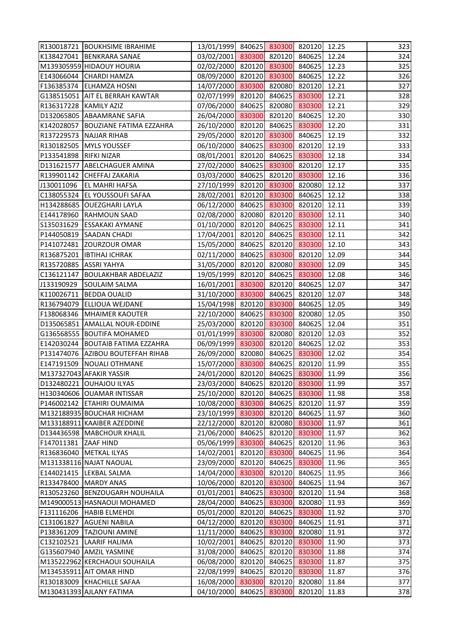|                          | R130018721 BOUKHSIME IBRAHIME        | 13/01/1999 840625 830300 820120 12.25 |        |        |       | 323 |
|--------------------------|--------------------------------------|---------------------------------------|--------|--------|-------|-----|
|                          | K138427041 BENKRARA SANAE            | 03/02/2001 830300 820120 840625       |        |        | 12.24 | 324 |
|                          | M139305959 HIDAOUY HOURIA            | 02/02/2000 820120 830300 840625       |        |        | 12.23 | 325 |
|                          | E143066044 CHARDI HAMZA              | 08/09/2000 820120 830300 840625       |        |        | 12.22 | 326 |
|                          | F136385374 ELHAMZA HOSNI             | 14/07/2000 830300 820080 820120       |        |        | 12.21 | 327 |
|                          | G138515051   AIT EL BERRAH KAWTAR    | 02/07/1999 820120 840625 830300       |        |        | 12.21 | 328 |
| R136317228   KAMILY AZIZ |                                      | 07/06/2000 840625 820080 830300       |        |        | 12.21 | 329 |
|                          | D132065805 ABAAMRANE SAFIA           | 26/04/2000 830300 820120 840625       |        |        | 12.20 | 330 |
|                          | K142028057   BOUZIANE FATIMA EZZAHRA | 26/10/2000 820120 840625 830300       |        |        | 12.20 | 331 |
|                          | R137229573 NAJJAR RIHAB              | 29/05/2000 820120 830300 840625       |        |        | 12.19 | 332 |
|                          | R130182505   MYLS YOUSSEF            | 06/10/2000 840625 830300 820120       |        |        | 12.19 | 333 |
| P133541898   RIFKI NIZAR |                                      | 08/01/2001 820120 840625 830300       |        |        | 12.18 | 334 |
|                          | D131621577 ABELCHAGUER AMINA         | 27/02/2000 840625 830300 820120       |        |        | 12.17 | 335 |
|                          | R139901142 CHEFFAJ ZAKARIA           | 03/03/2000 840625 820120 830300       |        |        | 12.16 | 336 |
| J130011096               | <b>EL MAHRI HAFSA</b>                | 27/10/1999 820120 830300 820080       |        |        | 12.12 | 337 |
|                          | C138055324 EL YOUSSOUFI SAFAA        | 28/02/2001 820120 830300 840625       |        |        | 12.12 | 338 |
|                          | H134288685 OUEZGHARI LAYLA           | 06/12/2000 840625 830300 820120       |        |        | 12.11 | 339 |
|                          | E144178960 RAHMOUN SAAD              | 02/08/2000 820080 820120 830300       |        |        | 12.11 | 340 |
| S135031629               | <b>ESSAKAKI AYMANE</b>               | 01/10/2000 820120 840625 830300       |        |        | 12.11 | 341 |
|                          | P144050819 SAADAN CHADI              | 17/04/2001 820120 840625 830300       |        |        | 12.11 | 342 |
|                          | P141072481 ZOURZOUR OMAR             | 15/05/2000 840625 820120 830300       |        |        | 12.10 | 343 |
|                          | R136875201   IBTIHAJ ICHRAK          | 02/11/2000 840625 830300 820120       |        |        | 12.09 | 344 |
| R135720885   ASSRI YAHYA |                                      | 31/05/2000 820120 820080 830300       |        |        | 12.09 | 345 |
|                          | C136121147   BOULAKHBAR ABDELAZIZ    | 19/05/1999 820120 840625 830300       |        |        | 12.08 | 346 |
| J133190929               | <b>SOULAIM SALMA</b>                 | 16/01/2001 830300 820120 840625       |        |        | 12.07 | 347 |
|                          | K110026711   BEDDA OUALID            | 31/10/2000 830300 840625 820120       |        |        | 12.07 | 348 |
|                          | R136794079 ELLIOUA WEJDANE           | 15/04/1998 820120 830300 840625       |        |        | 12.05 | 349 |
|                          | F138068346   MHAIMER KAOUTER         | 22/10/2000 840625 830300 820080       |        |        | 12.05 | 350 |
|                          | D135065851 AMALLAL NOUR-EDDINE       | 25/03/2000 820120 830300 840625       |        |        | 12.04 | 351 |
|                          | G136568555 BOUTIFA MOHAMED           | 01/01/1999 830300 820080 820120       |        |        | 12.03 | 352 |
|                          | E142030244 BOUTAIB FATIMA EZZAHRA    | 06/09/1999 830300 820120 840625 12.02 |        |        |       | 353 |
|                          | P131474076 AZIBOU BOUTEFFAH RIHAB    | 26/09/2000 820080 840625 830300 12.02 |        |        |       | 354 |
|                          | E147191509   NOUALI OTHMANE          | 15/07/2000 830300 840625 820120       |        |        | 11.99 | 355 |
|                          | M137327043 AFAKIR YASSIR             | 24/01/2000 820120 840625 830300       |        |        | 11.99 | 356 |
|                          | D132480221 OUHAJOU ILYAS             | 23/03/2000 840625 820120 830300       |        |        | 11.99 | 357 |
|                          | H130340606 OUAMAR INTISSAR           | 25/10/2000 820120 840625 830300       |        |        | 11.98 | 358 |
|                          | P146002142 ETAHIRI OUMAIMA           | 10/08/2000 830300 840625 820120       |        |        | 11.97 | 359 |
|                          | M132188935 BOUCHAR HICHAM            | 23/10/1999 830300 820120 840625       |        |        | 11.97 | 360 |
|                          | M133188911 KAAIBER AZEDDINE          | 22/12/2000 820120 820080              |        | 830300 | 11.97 | 361 |
|                          | D134436598   MABCHOUR KHALIL         | 21/06/2000 840625 820120 830300       |        |        | 11.97 | 362 |
| F147011381 ZAAF HIND     |                                      | 05/06/1999 830300 840625 820120       |        |        | 11.96 | 363 |
|                          | R136836040   METKAL ILYAS            | 14/02/2001 820120 830300              |        | 840625 | 11.96 | 364 |
|                          | M131338116 NAJAT NAOUAL              | 23/09/2000 820120 840625 830300       |        |        | 11.96 | 365 |
| E144021415               | <b>LEKBAL SALMA</b>                  | 14/04/2000 830300 820120              |        | 840625 | 11.95 | 366 |
| R133478400               | <b>MARDY ANAS</b>                    | 10/06/2000 820120 830300              |        | 840625 | 11.94 | 367 |
|                          | R130523260 BENZOUGARH NOUHAILA       | 01/01/2001 840625 830300              |        | 820120 | 11.94 | 368 |
|                          | M149000513 HASNAOUI MOHAMED          | 28/04/2000 840625 830300              |        | 820080 | 11.93 | 369 |
|                          | F131116206  HABIB ELMEHDI            | 05/01/2000 820120 840625 830300       |        |        | 11.92 | 370 |
| C131061827               | <b>AGUENI NABILA</b>                 | 04/12/2000 820120 830300              |        | 840625 | 11.91 | 371 |
|                          | P138361209   TAZIOUNI AMINE          | 11/11/2000 840625 830300              |        | 820080 | 11.91 | 372 |
|                          | C132102521 LAARIF HALIMA             | 10/02/2001 840625 820120 830300       |        |        | 11.90 | 373 |
|                          | G135607940 AMZIL YASMINE             | 31/08/2000 840625 820120              |        | 830300 | 11.88 | 374 |
|                          | M135222962 KERCHAOUI SOUHAILA        | 06/08/2000 820120 840625 830300       |        |        | 11.87 | 375 |
|                          | M134535911 AIT OMAR HIND             | 22/08/1999 840625 820120              |        | 830300 | 11.87 | 376 |
|                          | R130183009 KHACHILLE SAFAA           | 16/08/2000 830300                     | 820120 | 820080 | 11.84 | 377 |
|                          | M130431393 AJLANY FATIMA             | 04/10/2000 840625                     | 830300 | 820120 | 11.83 | 378 |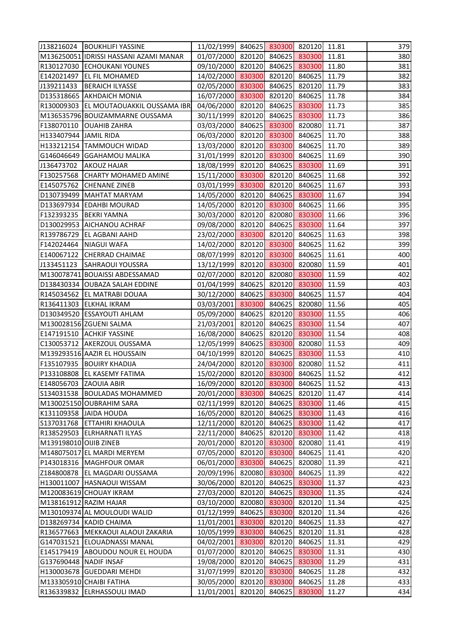| 01/07/2000 820120 840625 830300<br>M136250051 IDRISSI HASSANI AZAMI MANAR<br>11.81 |     |
|------------------------------------------------------------------------------------|-----|
|                                                                                    | 380 |
| 09/10/2000 820120 840625 830300<br>R130127030 ECHOUKANI YOUNES<br>11.80            | 381 |
| 14/02/2000 830300 820120 840625<br>E142021497<br><b>EL FIL MOHAMED</b><br>11.79    | 382 |
| 02/05/2000 830300 840625 820120<br>J139211433<br><b>BERAICH ILYASSE</b><br>11.79   | 383 |
| 16/07/2000 830300 820120 840625<br>D135318665 AKHDAICH MONIA<br>11.78              | 384 |
| 04/06/2000 820120 840625 830300<br>R130009303 EL MOUTAOUAKKIL OUSSAMA IBR<br>11.73 | 385 |
| 30/11/1999 820120 840625 830300<br>M136535796 BOUIZAMMARNE OUSSAMA<br>11.73        | 386 |
| 03/03/2000 840625 830300 820080<br>F138070110 OUAHIB ZAHRA<br>11.71                | 387 |
| 06/03/2000 820120 830300 840625<br>H133407944 JAMIL RIDA<br>11.70                  | 388 |
| 13/03/2000 820120 830300 840625<br>11.70<br>H133212154 TAMMOUCH WIDAD              | 389 |
| 31/01/1999 820120 830300 840625<br>G146046649 GGAHAMOU MALIKA<br>11.69             | 390 |
| 18/08/1999 820120 840625 830300<br><b>AKOUZ HAJAR</b><br>11.69<br>J136473702       | 391 |
| 15/11/2000 830300 820120 840625<br>F130257568 CHARTY MOHAMED AMINE<br>11.68        | 392 |
| 03/01/1999 830300 820120 840625<br>E145075762 CHENANE ZINEB<br>11.67               | 393 |
| 14/05/2000 820120 840625 830300<br>D130739499   MAHTAT MARYAM<br>11.67             | 394 |
| 14/05/2000 820120 830300 840625<br>D133697934 EDAHBI MOURAD<br>11.66               | 395 |
| 30/03/2000 820120 820080 830300<br>F132393235 BEKRI YAMNA<br>11.66                 | 396 |
| 09/08/2000 820120 840625 830300<br>D130029953 AICHANOU ACHRAF<br>11.64             | 397 |
| 23/02/2000 830300 820120 840625<br>R139786729 EL AGBANI AAHD<br>11.63              | 398 |
| 14/02/2000 820120 830300 840625<br>F142024464 NIAGUI WAFA<br>11.62                 | 399 |
| 08/07/1999 820120 830300 840625<br>E140067122 CHERRAD CHAIMAE<br>11.61             | 400 |
| 13/12/1999 820120 830300 820080 11.59<br>J133451123 SAHRAOUI YOUSSRA               | 401 |
| 02/07/2000 820120 820080 830300<br>M130078741 BOUAISSI ABDESSAMAD<br>11.59         | 402 |
| 01/04/1999 840625 820120 830300<br>D138430334 OUBAZA SALAH EDDINE<br>11.59         | 403 |
| 30/12/2000 840625 830300 840625<br>R145034562 EL MATRABI DOUAA<br>11.57            | 404 |
| 03/03/2001 830300 840625 820080<br>R136411303 ELKHAL IKRAM<br>11.56                | 405 |
| 05/09/2000 840625 820120 830300<br>D130349520 ESSAYOUTI AHLAM<br>11.55             | 406 |
| M130028156 ZGUENI SALMA<br>21/03/2001 820120 840625 830300<br>11.54                | 407 |
| 16/08/2000 840625 820120 830300<br>E147191510 ACHKIF YASSINE<br>11.54              | 408 |
| 12/05/1999 840625 830300 820080 11.53<br>C130053712 AKERZOUL OUSSAMA               | 409 |
| M139293516 AAZIR EL HOUSSAIN<br>04/10/1999 820120 840625 830300 11.53              | 410 |
| F135107935  BOUIRY KHADIJA<br>24/04/2000 820120 830300 820080<br>11.52             | 411 |
| P133108808 EL KASEMY FATIMA<br>15/02/2000 820120 830300 840625<br>11.52            | 412 |
| 16/09/2000 820120 830300 840625<br>E148056703 ZAOUIA ABIR<br>11.52                 | 413 |
| S134031538   BOULADAS MOHAMMED<br>20/01/2000 830300 840625 820120<br>11.47         | 414 |
| 02/11/1999 820120 840625 830300<br>11.46<br>M130025150 OUBRAHIM SARA               | 415 |
| 16/05/2000 820120 840625 830300<br>11.43<br>K131109358 JAIDA HOUDA                 | 416 |
| 12/11/2000 820120 840625<br>830300<br>S137031768 ETTAHIRI KHAOULA<br>11.42         | 417 |
| R138529503 ELRHARNATI ILYAS<br>22/11/2000 840625 820120 830300<br>11.42            | 418 |
| 20/01/2000 820120 830300 820080<br>M139198010 OIJIB ZINEB<br>11.41                 | 419 |
| M148075017 EL MARDI MERYEM<br>07/05/2000 820120 830300<br>840625<br>11.41          | 420 |
| 06/01/2000 830300 840625 820080<br>11.39<br>P143018316   MAGHFOUR OMAR             | 421 |
| 20/09/1996 820080 830300<br>Z184800878 EL MAGDARI OUSSAMA<br>840625<br>11.39       | 422 |
| 30/06/2000 820120 840625 830300<br>H130011007 HASNAOUI WISSAM<br>11.37             | 423 |
| 27/03/2000 820120 840625 830300<br>M120083619 CHOUAY IKRAM<br>11.35                | 424 |
| 03/10/2000 820080 830300<br>820120<br>M138161912 RAZIM HAJAR<br>11.34              | 425 |
| 01/12/1999 840625 830300 820120<br>11.34<br>M130109374 AL MOULOUDI WALID           | 426 |
| 11/01/2001 830300 820120 840625<br>D138269734 KADID CHAIMA<br>11.33                | 427 |
| R136577663 MEKKAOUI ALAOUI ZAKARIA<br>10/05/1999 830300 840625<br>820120<br>11.31  | 428 |
| G147031521 ELOUADNASSI MANAL<br>04/02/2001 830300 820120 840625<br>11.31           | 429 |
| 830300<br>E145179419 ABOUDOU NOUR EL HOUDA<br>01/07/2000 820120 840625<br>11.31    | 430 |
| G137690448 NADIF INSAF<br>19/08/2000 820120 840625 830300<br>11.29                 | 431 |
| 31/07/1999 820120 830300<br>H130003678 GUEDDARI MEHDI<br>840625<br>11.28           | 432 |
| M133305910 CHAIBI FATIHA<br>30/05/2000<br>820120 830300<br>840625<br>11.28         | 433 |
| 11/01/2001<br>R136339832 ELRHASSOULI IMAD<br>820120 840625<br>830300<br>11.27      | 434 |